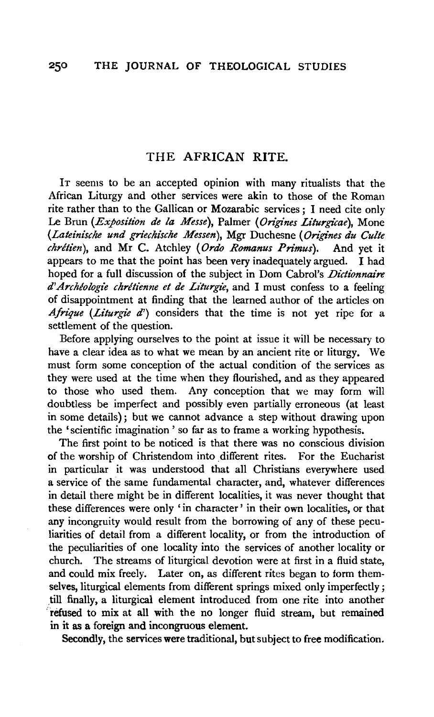# THE AFRICAN RITE.

IT seems to be an accepted opinion with many ritualists that the African Liturgy and other services were akin to those of the Roman rite rather than to the Gallican or Mozarabic services; I need cite only Le Brun *(Exposition de la Messe)*, Palmer *(Origines Liturgicae)*, Mone *(Lateinische und griechz"sche Messen),* Mgr Duchesne *(On"gines du Culte chrétien*), and Mr C. Atchley *(Ordo Romanus Primus)*. And yet it appears to me that the point has been very inadequately argued. I had hoped for a full discussion of the subject in Dom Cabrol's *Dictionnaire d'Archéologie chrétienne et de Liturgie*, and I must confess to a feeling of disappointment at finding that the learned author of the articles on Afrique (Liturgie d') considers that the time is not yet ripe for a settlement of the question.

Before applying ourselves to the point at issue it will be necessary to have a clear idea as to what we mean by an ancient rite or liturgy. 'Ve must form some conception of the actual condition of the services as they were used at the time when they flourished, and as they appeared to those who used them. Any conception that we may form will doubtless be imperfect and possibly even partially erroneous (at least in some details); but we cannot advance a step without drawing upon the 'scientific imagination ' so far as to frame a working hypothesis.

The first point to be noticed is that there was no conscious division of the worship of Christendom into different rites. For the Eucharist in particular it was understood that all Christians everywhere used a service of the same fundamental character, and, whatever differences in detail there might be in different localities, it was never thought that these differences were only 'in character' in their own localities, or that any incongruity would result from the borrowing of any of these peculiarities of detail from a different locality, or from the introduction of the peculiarities of one locality into the services of another locality or church. The streams of liturgical devotion were at first in a fluid state, and could mix freely. Later on, as different rites began to form themselves, liturgical elements from different springs mixed only imperfectly; .till finally, a liturgical element introduced from one rite into another refused to mix at all with the no longer fluid stream, but remained in it as a foreign and incongruous element.

Secondly, the services were traditional, but subject to free modification.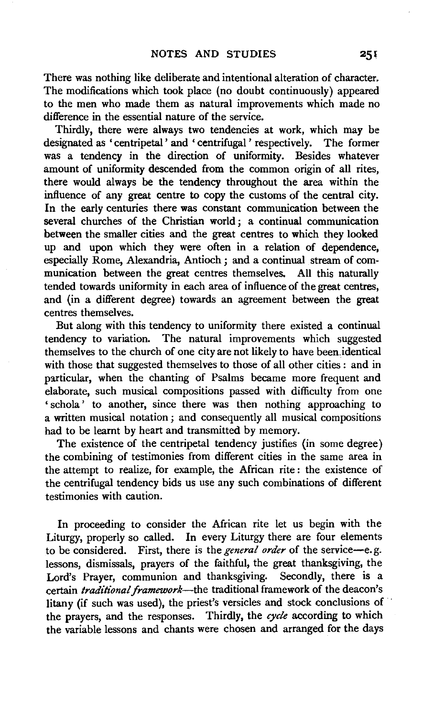There was nothing like deliberate and intentional alteration of character. The modifications which took place (no doubt continuously) appeared to the men who made them as natural improvements which made no difference in the essential nature of the service.

Thirdly, there were always two tendencies at work, which may be designated as 'centripetal' and 'centrifugal' respectively. The former was a tendency in the direction of uniformity. Besides whatever amount of uniformity descended from the common origin of all rites, there would always be the tendency throughout the area within the influence of any great centre to copy the customs of the central city. In the early centuries there was constant communication between the several churches of the Christian world : a continual communication between the smaller cities and the great centres to which they looked up and upon which they were often in a relation of dependence, especially Rome, Alexandria, Antioch ; and a continual stream of communication between the great centres themselves. All this naturally tended towards uniformity in each area of influence of the great centres, and (in a different degree) towards an agreement between the great centres themselves.

But along with this tendency to uniformity there existed a continual tendency to variation. The natural improvements which suggested themselves to the church of one city are not likely to have been identical with those that suggested themselves to those of all other cities: and in particular, when the chanting of Psalms became more frequent and elaborate, such musical compositions passed with difficulty from one ' schola ' to another, since there was then nothing approaching to a written musical notation; and consequently all musical compositions had to be learnt by heart and transmitted by memory.

The existence of the centripetal tendency justifies (in some degree) the combining of testimonies from different cities in the same area in the attempt to realize, for example, the African rite : the existence of the centrifugal tendency bids us use any such combinations of different testimonies with caution.

In proceeding to consider the African rite let us begin with the Liturgy, properly so called. In every Liturgy there are four elements to be considered. First, there is the *general order* of the service-e. g. lessons, dismissals, prayers of the faithful, the great thanksgiving, the Lord's Prayer, communion and thanksgiving. Secondly, there is a certain *traditional framework-the* traditional framework of the deacon's litany (if such was used), the priest's versicles and stock conclusions of the prayers, and the responses. Thirdly, the *cycle* according to which the variable lessons and chants were chosen and arranged for the days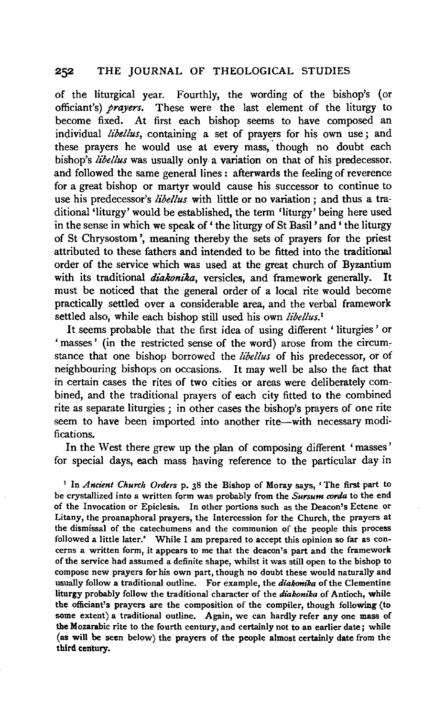## 2,52 THE JOURNAL OF THEOLOGICAL STUDIES

of the liturgical year. Fourthly, the wording of the bishop's (or officiant's) *prayers.* These were the last element of the liturgy to become fixed. At first each bishop seems to have composed an individual *libel/us,* containing a set of prayers for his own use ; and these prayers he would use at every mass, though no doubt each bishop's *libel/us* was usually only· a variation on that of his predecessor, and followed the same general lines : afterwards the feeling of reverence for a great bishop or martyr would cause his successor to continue to use his predecessor's *libel/us* with little or no variation ; and thus a traditional 'liturgy' would be established, the term 'liturgy' being here used in the sense in which we speak of ' the liturgy of St Basil 'and ' the liturgy of St Chrysostom ', meaning thereby the sets of prayers for the priest attributed to these fathers and intended to be fitted into the traditional order of the service which was used at the great church of Byzantium with its traditional *diakonika,* versicles, and framework generally. It must be noticed that the general order of a local rite would become practically settled over a considerable area, and the verbal framework settled also, while each bishop still used his own *libel/us.'* 

It seems probable that the first idea of using different ' liturgies ' or ' masses ' (in the restricted sense of the word) arose from the circumstance that one bishop borrowed the *libel/us* of his predecessor, or of neighbouring bishops on occasions. It may well be also the fact that in certain cases the rites of two cities or areas were deliberately combined, and the traditional prayers of each city fitted to the combined rite as separate liturgies ; in other cases the bishop's prayers of one rite seem to have been imported into another rite-with necessary modifications.

In the West there grew up the plan of composing different 'masses' for special days, each mass having reference to the particular day in

1 In *Ancient Church Orders* p. 38 the Bishop of Moray says, 'The first part to be crystallized into a written form was probably from the *Sursum corda* to the end of the Invocation or Epiclesis. In other portions such as the Deacon's Ectene or Litany, the proanaphoral prayers, the Intercession for the Church, the prayers at the dismissal of the catechumens and the communion of the people this process followed a little later.' While I am prepared to accept this opinion so far as concerns a written form, it appears to me that the deacon's part and the framework of the service had assumed a definite shape, whilst it was still open to the bishop to compose new prayers for his own part, though no doubt these would naturally and usually follow a traditional outline. For example, the *diakonika* of the Clementine liturgy probably follow the traditional character of the *diakonika* of Antioch, while the officiant's prayers are the composition of the compiler, though following (to some extent) a traditional outline. Again, we can hardly refer any one mass of the Mozarabic rite to the fourth century, and certainly not to an earlier date; while (as will be seen below) the prayers of the people almost certainly date from the third century.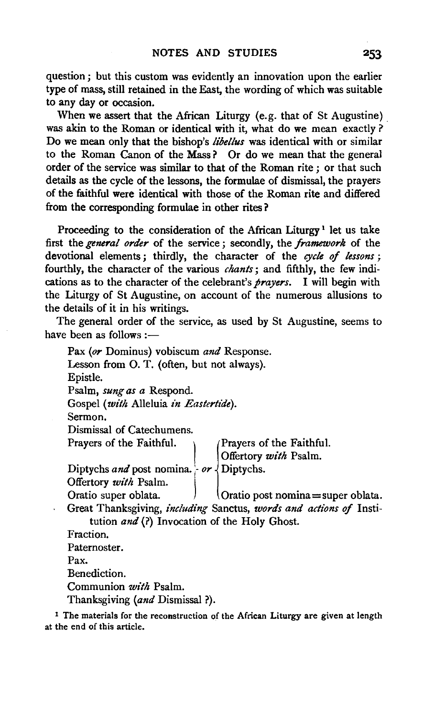question ; but this custom was evidently an innovation upon the earlier type of mass, still retained in the East, the wording of which was suitable to any day or occasion.

When we assert that the African Liturgy (e.g. that of St Augustine) was akin to the Roman or identical with it, what do we mean exactly ? Do we mean only that the bishop's *li'bellus* was identical with or similar to the Roman Canon of the Mass ? Or do we mean that the general order of the service was similar to that of the Roman rite ; or that such details as the cycle of the lessons, the formulae of dismissal, the prayers of the faithful were identical with those of the Roman rite and differed from the corresponding formulae in other rites ?

Proceeding to the consideration of the African Liturgy<sup>1</sup> let us take first the *general order* of the service ; secondly, the *framework* of the devotional elements ; thirdly, the character of the *cycle of lessons* ; fourthly, the character of the various *chants;* and fifthly, the few indications as to the character of the celebrant's *prayers.* I will begin with the Liturgy of St Augustine, on account of the numerous allusions to the details of it in his writings.

The general order of the service, as used by St Augustine, seems to have been as follows  $:$   $-$ 

Pax *(or* Dominus) vobiscum *and* Response. Lesson from 0. T. (often, but not always). Epistle. Psalm, *sung as a* Respond. Gospel *(with Alleluia in Eastertide)*. Sermon. Dismissal of Catechumens.<br>Prayers of the Faithful. Dismissal of Catechumens.<br>
Prayers of the Faithful. (Prayers of the Faithful.<br>
Offertory *with* Psalm. Diptychs *and* post nomina.  $\frac{1}{x}$  *or*  $\sqrt{\text{Dipty}}$ chs. Offertory *with* Psalm.<br>Oratio super oblata.  $\overline{\text{O}\text{ratio}}$  post nomina = super oblata. Great Thanksgiving, *including* Sanctus, *words and actions of* Institution *and* {?) Invocation of the Holy Ghost. Fraction. Paternoster. Pax. Benediction. Communion *with* Psalm. Thanksgiving *(and* Dismissal?).

<sup>1</sup> The materials for the reconstruction of the African Liturgy are given at length at the end of this article.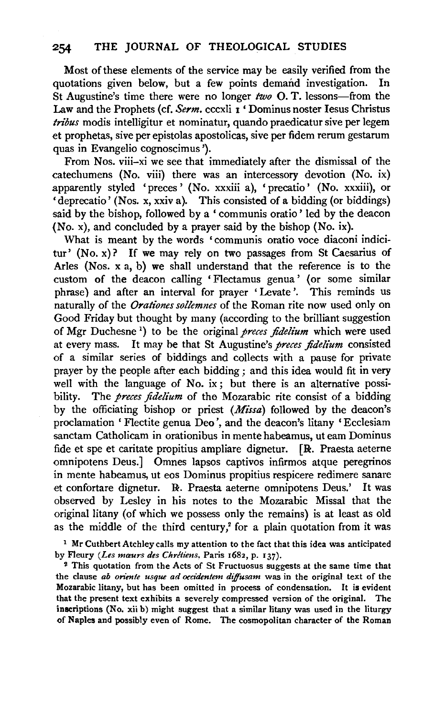## 254 THE JOURNAL OF THEOLOGICAL STUDIES

Most of these elements of the service may be easily verified from the quotations given below, but a few points demand investigation. In St Augustine's time there were no longer *two* O. T. lessons-from the Law and the Prophets (cf. *Serm.* cccxli  $\mathbf{I}$  'Dominus noster Iesus Christus *tribus* modis intelligitur et nominatur, quando praedicatur sive per legem et prophetas, sive per epistolas apostolicas, sive per fidem rerum gestarum quas in Evangelio cognoscimus ').

From Nos. viii-xi we see that immediately after the dismissal of the catechumens (No. viii) there was an intercessory devotion (No. ix} apparently styled 'preces' (No. xxxiii a), 'precatio' (No. xxxiii), or 'deprecatio' (Nos. x, xxiv a). This consisted of a bidding (or biddings) said by the bishop, followed by a ' communis oratio' led by the deacon (No. x), and concluded by a prayer said by the bishop (No. ix).

What is meant by the words 'communis oratio voce diaconi indicitur' (No. x)? If we may rely on two passages from St Caesarius of Aries (Nos. x a, b) we shall understand that the reference is to the custom of the deacon calling ' Flectamus genua ' (or some similar phrase) and after an interval for prayer 'Levate '. This reminds us naturally of the *Orattones sollemnes* of the Roman rite now used only on Good Friday but thought by many (according to the brilliant suggestion of Mgr Duchesne<sup>1</sup>) to be the original *preces fidelium* which were used at every mass. It may be that St Augustine's *preces jidelium* consisted of a similar series of biddings and collects with a pause for private prayer by the people after each bidding ; and this idea would fit in very well with the language of No. ix; but there is an alternative possibility. The *preces fidelium* of the Mozarabic rite consist of a bidding by the officiating bishop or priest *(Missa)* followed by the deacon's proclamation ' Flectite genua Deo ', and the deacon's litany 'Ecclesiam sanctam Catholicam in orationibus in mente habeamus, ut eam Dominus fide et spe et caritate propitius ampliare dignetur. [B:. Praesta aeterne omnipotens Deus.] Omnes lapsos captivos infirmos atque peregrinos in mente habeamus, ut eos Dominus propitius respicere redimere sanare et confortare dignetur. R. Praesta aeterne omnipotens Deus.' It was observed by Lesley in his notes to the Mozarabic Missal that the original litany (of which we possess only the remains) is at least as old as the middle of the third century,<sup>2</sup> for a plain quotation from it was

<sup>1</sup> Mr Cuthbert Atchley calls my attention to the fact that this idea was anticipated by Fleury *(Les maurs des Chrétiens*, Paris 1682, p. 137).<br><sup>2</sup> This quotation from the Acts of St Fructuosus suggests at the same time that

the clause *ab oriente usque ad occidentem dijfusam* was in the original text of the Mozarabic litany, but has been omitted in process of condensation. It is evident that the present text exhibits a severely compressed version of the original. The inscriptions (No. xii b) might suggest that a similar litany was used in the liturgy of Naples and possibly even of Rome. The cosmopolitan character of the Roman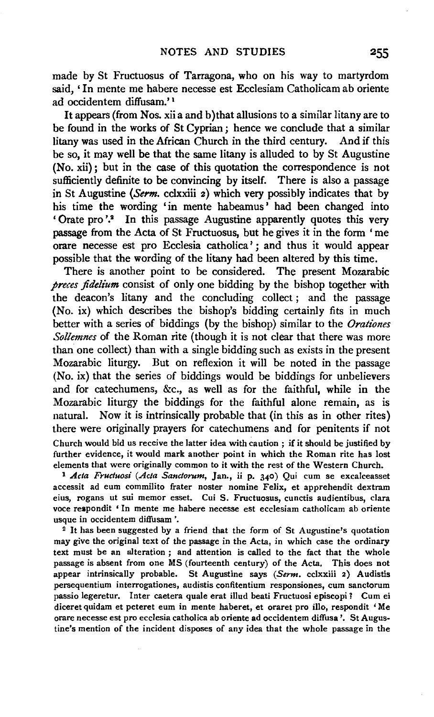made by St Fructuosus of Tarragona, who on his way to martyrdom said, ' In mente me habere necesse est Ecclesiam Catholicam ab oriente ad occidentem diffusam.'<sup>1</sup>

It appears (from Nos. xii a and b)that allusions to a similar litany are to be found in the works of St Cyprian; hence we conclude that a similar litany was used in the African Church in the third century. And if this be so, it may well be that the same litany is alluded to by St Augustine (No. xii}; but in the case of this quotation the correspondence is not sufficiently definite to be convincing by itself. There is also a passage in St Augustine *(Serm.* cclxxiii 2) which very possibly indicates that by his time the wording 'in mente habeamus' had been changed into 'Orate pro '.1 In this passage Augustine apparently quotes this very passage from the Acta of St Fructuosus, but he gives it in the form ' me orare necesse est pro Ecclesia catholica'; and thus it would appear possible that the wording of the litany had been altered by this time.

There is another point to be considered. The present Mozarabic *preces fidelium* consist of only one bidding by the bishop together with the deacon's litany and the concluding collect ; and the passage (No. ix) which describes the bishop's bidding certainly fits in much better with a series of biddings (by the bishop) similar to the *Orationes Sollemnes* of the Roman rite (though it is not clear that there was more than one collect) than with a single bidding such as exists in the present Mozarabic liturgy. But on reflexion it will be noted in the passage (No. ix) that the series of biddings would be biddings for unbelievers and for catechumens, &c., as well as for the faithful, while in the Mozarabic liturgy the biddings for the faithful alone remain, as is natural. Now it is intrinsically probable that (in this as in other rites} there were originally prayers for catechumens and for penitents if not Church would bid us receive the latter idea with caution ; if it should be justified by further evidence, it would mark another point in which the Roman rite has lost elements that were originally common to it with the rest of the Western Church.

<sup>1</sup>*Acta Fructuosi (Acta Sanctorum,* Jan., ii p. 340) Qui cum se excalceasset accessit ad eum commilito frater noster nomine Felix, et apprehendit dextram eius, rogans ut sui memor esset. Cui S. Fructuosus, cunctis audientibus, clara voce respondit ' In mente me habere necesse est ecclesiam catholicam ab oriente usque in occidentem diffusam '.<br><sup>2</sup> It has been suggested by a friend that the form of St Augustine's quotation

may give the original text of the passage in the Acta, in which case the ordinary text must be an alteration ; and attention is called to the fact that the whole passage is absent from one MS (fourteenth century) of the Acta. This does not appear intrinsically probable. St Augustine says *(Serm.* cclxxiii 2) Audistis persequentium interrogationes, audistis confitentium responsiones, cum sanctorum passio legeretur. Inter caetera quale erat illud beati Fructuosi episcopi *1* Cum ei diceret quidam et peteret eum in mente haberet, et oraret pro illo, respondit ' Me orare necesse est pro ecclesia catholica ab oriente ad occidentem diffusa '. St Augus· tine's mention of the incident disposes of any idea that the whole passage in the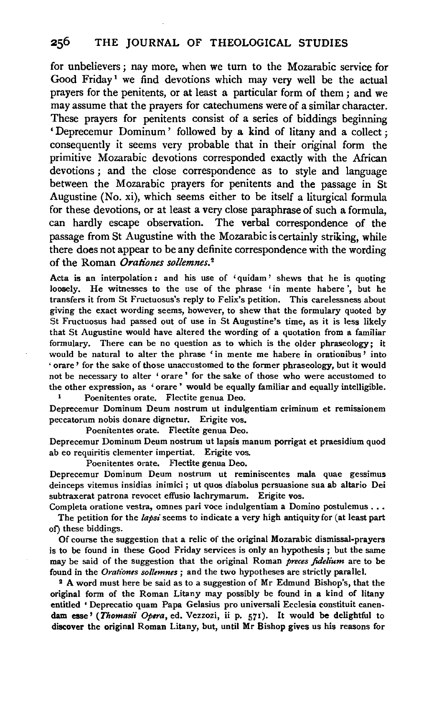for unbelievers ; nay more, when we turn to the Mozarabic service for Good Fridav<sup>1</sup> we find devotions which may very well be the actual prayers for the penitents, or at least a particular form of them ; and we may assume that the prayers for catechumens were of a similar character. These prayers for penitents consist of a series of biddings beginning 'Deprecemur Dominum' followed by a kind of litany and a collect ; consequently it seems very probable that in their original form the primitive Mozarabic devotions corresponded exactly with the African devotions ; and the close correspondence as to style and language between the Mozarabic prayers for penitents and the passage in St Augustine (No. xi), which seems either to be itself a liturgical formula for these devotions, or at least a very close paraphrase of such a formula, can hardly escape observation. The verbal correspondence of the passage from St Augustine with the Mozarabic is certainly striking, while there does not appear to be any definite correspondence with the wording of the Roman *Orationes sollemnes.*<sup>2</sup>

Acta is an interpolation : and his use of 'quidam ' shews that he is quoting loosely. He witnesses to the use of the phrase 'in mente habere', but he transfers it from St Fructuosus's reply to Felix's petition. This carelessness about giving the exact wording seems, however, to shew that the formulary quoted by St Fructuosus had passed out of use in St Augustine's time, as it is less likely that St Augustine would have altered the wording of a quotation from a familiar formulary. There can be no question as to which is the older phraseology; it would be natural to alter the phrase ' in mente me habere in orationibus ' into ' orare ' for the sake of those unaccustomed to the former phraseology, but it would not be necessary to alter ' orare ' for the sake of those who were accustomed to the other expression, as ' orare ' would be equally familiar and equally intelligible. 1 Poenitentes orate. Flectite genua Deo.

Deprecemur Dominum Deum nostrum ut indulgentiam criminum et remissionem peccatorum nobis donare dignetur. Erigite vos.

Poenitentes orate. Flectite genua Deo.

Deprecemur Dominum Deum nostrum ut lapsis manum porrigat et praesidium quod ab eo requiritis clementer impertiat. Erigite vos.

Poenitentes orate. Flectite genua Deo.

Deprecemur Dominum Deum nostrum ut reminiscentes mala quae gessimus deinceps vitemus insidias inimici ; ut quos diabolus persuasione sua ab altario Dei subtraxerat patrona revocet effusio lachrymarum. Erigite vos.

Completa oratione vestra, omnes pari voce indulgentiam a Domino postulemus ..• The petition for the *lapsi* seems to indicate a very high antiquity for (at least part of) these biddings.

Of course the suggestion that a relic of the original Mozarabic dismissal-prayers is to be found in these Good Friday services is only an hypothesis ; but the same may be said of the suggestion that the original Roman *preces fidelium* are to be found in the *Orafiones sollemnes* ; and the two hypotheses are strictly parallel.

2 A word must here be said as to a suggestion of Mr Edmund Bishop's, that the original form of the Roman Litany may possibly be found in a kind of litany entitled • Deprecatio quam Papa Gelasius pro universali Ecclesia constituit canendam esse' *(Thomasii Opera,* ed. Vezzozi, ii p. 571). It would be delightful to discover the original Roman Litany, but, until Mr Bishop gives us his reasons for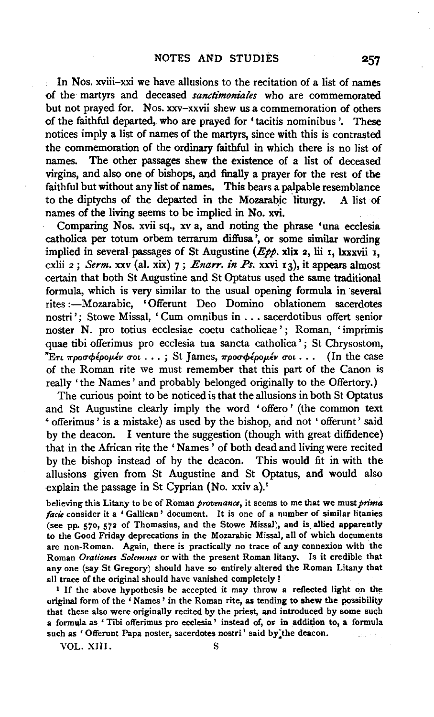In Nos. xviii-xxi we have allusions to the recitation of a list of names of the martyrs and deceased *sanctimoniales* who are commemorated but not prayed for. Nos. xxv-xxvii shew us a commemoration of others of the faithful departed, who are prayed for 'tacitis nominibus '. These notices imply a list of names of the martyrs, since with this is contrasted the commemoration of the ordinary faithful in which there is no list of names. The other passages shew the existence of a list of deceased virgins, and also one of bishops, and finally a prayer for the rest of the faithful but without any list of names. This bears a palpable resemblance to the diptychs of the departed in the Mozarabic liturgy. A list of names of the living seems to be implied in No. xvi.

Comparing Nos. xvii sq., xv a, and noting the phrase 'una ecclesia catholica per totum orbem terrarum diffusa ', or some similar wording implied in several passages of St Augustine ( $E_{\phi}$ ), xlix 2, lii 1, lxxxvii 1, cxlii 2; *Serm.* xxv (al. xix)  $7$ ; *Enarr. in Ps.* xxvi  $13$ ), it appears almost certain that both St Augustine and St Optatus used the same traditional formula, which is very similar to the usual opening formula in several rites :- Mozarabic, 'Offerunt Deo Domino oblationem sacerdotes nostri': Stowe Missal, 'Cum omnibus in . . . sacerdotibus offert senior noster N. pro totius ecclesiae coetu catholicae'; Roman, 'imprimis quae tibi offerimus pro ecclesia tua sancta catholica'; St Chrysostom, "En *7rpoucplpop.£v uot* .•• ; St James, *7rpoucplpop.lv uot* • • . (In the case of the Roman rite we must remember that this part of the Canon is really 'the Names' and probably belonged originally to the Offertory.)

The curious point to be noticed is that the allusions in both St Optatus and St Augustine clearly imply the word 'offero' (the common text ' offerimus' is a mistake) as used by the bishop, and not ' offerunt' said by the deacon. I venture the suggestion (though with great diffidence) that in the African rite the 'Names ' of both dead and living were recited by the bishop instead of by the deacon. This would fit in with the allusions given from St Augustine and St Optatus, and would also explain the passage in St Cyprian (No.  $xxiv a$ ).<sup>1</sup>

believing this Litany to be of Roman *provenance,* it seems to me that we must *prima facie* consider it a ' Gallican' document. It is one of a number of similar litanies (see pp. 570, 572 of Thomasius, and the Stowe Missal), and is. allied apparently to the Good Friday deprecations in the Mozarabic Missal, all of which documents are non-Roman. Again, there is practically no trace of any connexion with the Roman *Orationes Solemnes* or with the present Roman litany. Is it credible that any one (say St Gregory) should have so entirely altered the Roman Litany that all trace of the original should have vanished completely !

<sup>1</sup>If the above hypothesis be accepted it may throw a reflected light on the original form of the 'Names' in the Roman rite, as tending to shew the possibility that these also were originally recited by the priest, and introduced by some such a formula as 'Tibi offerimus pro ecclesia' instead of, or in addition to, a formula such as 'Offerunt Papa noster, sacerdotes nostri' said by the deacon. Service Re

VOL. XIII. S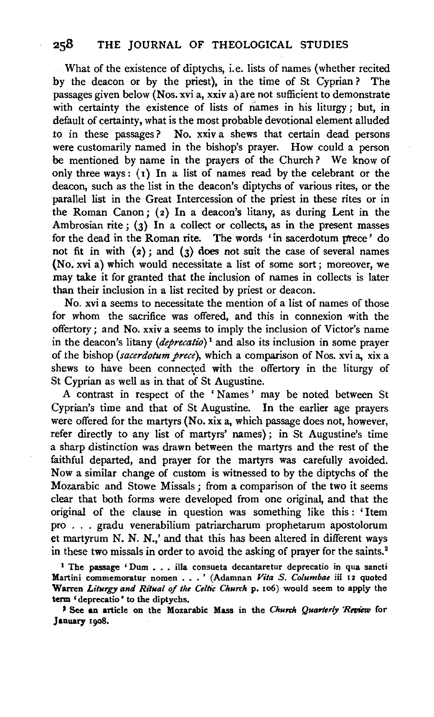What of the existence of diptychs, i.e. lists of names (whether recited the deacon or by the priest), in the time of St Cyprian? The by the deacon or by the priest), in the time of St Cyprian? passages given below (Nos. xvi a, xxiv a) are not sufficient to demonstrate with certainty the existence of lists of names in his liturgy; but, in default of certainty, what is the most probable devotional element alluded to in these passages? No. xxiv a shews that certain dead persons were customarily named in the bishop's prayer. How could a person be mentioned by name in the prayers of the Church? We know of only three ways:  $(1)$  In a list of names read by the celebrant or the deacon, such as the list in the deacon's diptychs of various rites, or the parallel list in the Great Intercession of the priest in these rites or in the Roman Canon ; ( $2$ ) In a deacon's litany, as during Lent in the Ambrosian rite;  $(3)$  In a collect or collects, as in the present masses for the dead in the Roman rite. The words 'in sacerdotum ptece' do not fit in with  $(2)$ ; and  $(3)$  does not suit the case of several names (No; xvi a) which would necessitate a list of some sort; moreover, we may take it for granted that the inclusion of names in collects is later than their inclusion in a list recited by priest or deacon.

No. xvi a seems to necessitate the mention of a list of names of those for whom the sacrifice was offered, and this in connexion with the offertory; and No. xxiv a seems to imply the inclusion of Victor's name in the deacon's litany *(deprecatio)* 1 and also its inclusion in some prayer of the bishop *(sacerdotum prece),* which a comparison of Nos. xvi a, xix a shews to have been connected with the offertory in the liturgy of St Cyprian as well as in that of St Augustine.

A contrast in respect of the 'Names' may be noted between St Cyprian's time and that of St Augustine. In the earlier age prayers were offered for the martyrs (No. xix a, which passage does not, however, refer directly to any list of martyrs' names); in St Augustine's time a sharp distinction was drawn between the martyrs and the rest of the faithful departed, and prayer for the martyrs was carefully avoided. Now a similar change of custom is witnessed to by the diptychs of the Mozarabic and Stowe Missals ; from a comparison of the two it seems clear that both forms were developed from one original, and that the original of the clause in question was something like this: 'Item pro . . . gradu venerabilium patriarcharum prophetarum apostolorum et martyrum N. N. N.,' and that this has been altered in different ways in these two missals in order to avoid the asking of prayer for the saints.<sup>2</sup>

1 The passage 'Dum . . . illa consueta decantaretur deprecatio in qua sancti Martini commemoratur nomen ••. ' (Adamnan *Vita S. Columbae* iii 12 quoted Warren *Liturgy and Ritual of the Celhc Church* p. ro6) would seem to apply the term 'deprecatio • to the diptychs.

<sup>3</sup> See an article on the Mozarabic Mass in the *Church Quarterly 'Review* for January 1908.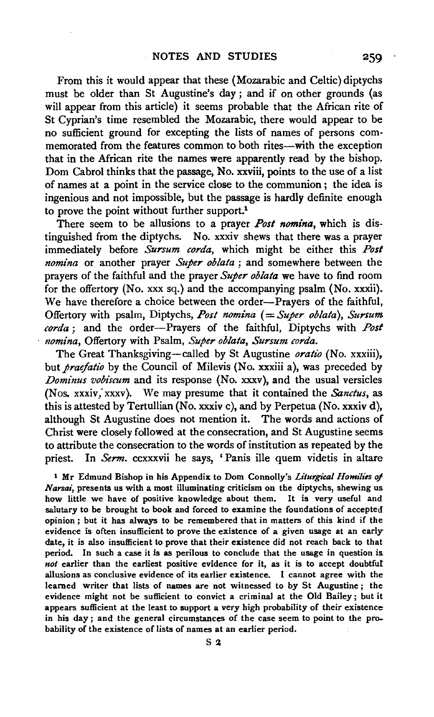From this it would appear that these (Mozarabic and Celtic) diptychs must be older than St Augustine's day ; and if on other grounds (as will appear from this article) it seems probable that the African rite of St Cyprian's time resembled the Mozarabic, there would appear to be no sufficient ground for excepting the lists of names of persons commemorated from the features common to both rites-with the exception that in the African rite the names were apparently read by the bishop. Dom Cabrol thinks that the passage, No. xxviii, points to the use of a list of names at a point in the service close to the communion ; the idea is ingenious and not impossible, but the passage is hardly definite enough to prove the point without further support.<sup>1</sup>

There seem to be allusions to a prayer *Post nomina,* which is distinguished from the diptychs. No. xxxiv shews that there was a prayer immediately before *Sursum corda,* which might be either this *Post nomina* or another prayer *Super oblata* ; and somewhere between the prayers of the faithful and the prayer *Super oblata* we have to find room for the offertory (No. xxx sq.) and the accompanying psalm (No. xxxii). We have therefore a choice between the order-Prayers of the faithful, Offertory with psalm, Diptychs, *Post nomina (=Super oblata), Sursum corda;* and the order-Prayers of the faithful, Diptychs with *Post nomina,* Offertory with Psalm, *Super oblata, Sursum corda.* 

The Great Thanksgiving-called by St Augustine *oratio* (No. xxxiii), but *praefatio* by the Council of Milevis (No. xxxiii a), was preceded by *Dominus vobiscum* and its response (No. xxxv), and the usual versicles (Nos. xxxiv, xxxv). We may presume that it contained the *Sanctus*, as this is attested by Tertullian (No. xxxiv c), and by Perpetua (No. xxxiv d), although St Augustine does not mention it. The words and actions of Christ were closely followed at the consecration, and St Augustine seems to attribute the consecration to the words of institution as repeated by the priest. In *Serm.* ccxxxvii he says, ' Panis ille quem videtis in altare

1 Mr Edmund Bishop in his Appendix to Dom Connolly's *Liturgical Homilies oj Narsai,* presents us with a most illuminating criticism on the diptychs, shewing us how little we have of positive knowledge about them. It is very useful and salutary to be brought to book and forced to examine the foundations of accepted opinion ; but it has always to be remembered that in matters of this kind if the evidence is often insufficient to prove the existence of a given usage at an early date, it is also insufficient to prove that their existence did not reach back to that period. In such a case it is as perilous to conclude that the usage in question is *not* earlier than the earliest positive evidence for it, as it is to accept doubtful allusions as conclusive evidence of its earlier existence. I cannot agree with the learned writer that lists of names are not witnessed to by St Augustine ; the evidence might not be sufficient to convict a criminal at the Old Bailey; but it appears sufficient at the least to support a very high probability of their existence in his day ; and the general circumstances of the case seem to point to the probability of the existence of lists of names at an earlier period.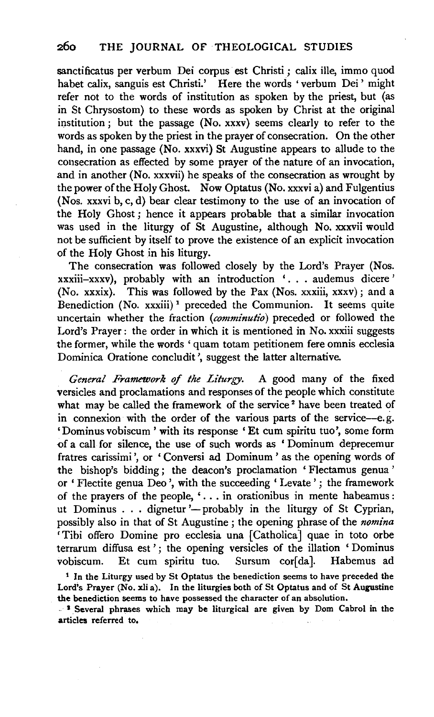sanctificatus per verbum Dei corpus est Christi; calix ille, immo quod habet calix, sanguis est Christi.' Here the words 'verbum Dei' might refer not to the words of institution as spoken by the priest, but (as in St Chrysostom) to these words as spoken by Christ at the original institution; but the passage (No. xxxv) seems clearly to refer to the words as spoken by the priest in the prayer of consecration. On the other hand, in one passage (No. xxxvi) St Augustine appears to allude to the consecration as effected by some prayer of the nature of an invocation, and in another (No. xxxvii) he speaks of the consecration as wrought by the power of the Holy Ghost. Now Optatus (No. xxxvi a) and Fulgentius {Nos. xxxvi b, c, d) bear clear testimony to the use of an invocation of the Holy Ghost ; hence it appears probable that a similar invocation was used in the liturgy of St Augustine, although No. xxxvii would not be sufficient by itself to prove the existence of an explicit invocation of the Holy Ghost in his liturgy.

The consecration was followed closely by the Lord's Prayer (Nos. xxxiii-xxxv), probably with an introduction '... audemus dicere' (No.  $xxxix$ ). This was followed by the Pax (Nos.  $xxxiii$ ,  $xxxv$ ); and a Benediction (No. xxxiii)<sup>1</sup> preceded the Communion. It seems quite uncertain whether the fraction *(comminutio)* preceded or followed the Lord's Prayer: the order in which it is mentioned in No. xxxiii suggests the former, while the words ' quam totam petitionem fere omnis ecclesia Dominica Oratione concludit ', suggest the latter alternative.

*General Framework* of *the Liturgy.* A good many of the fixed versicles and proclamations and responses of the people which constitute what may be called the framework of the service<sup>2</sup> have been treated of in connexion with the order of the various parts of the service-e. g. 'Dominus vobiscum ' with its response ' Et cum spiritu tuo ', some form <>f a call for silence, the use of such words as ' Dominum deprecemur fratres carissimi ', or 'Conversi ad Dominum' as the opening words of the bishop's bidding ; the deacon's proclamation ' Flectamus genua ' or ' Flectite genua Deo ', with the succeeding ' Levate ' ; the framework of the prayers of the people, ' ... in orationibus in mente habeamus : ut Dominus . . . dignetur '- probably in the liturgy of St Cyprian, possibly also in that of St Augustine ; the opening phrase of the *nomina*  'Tibi offero Domine pro ecclesia una [Catholica] quae in toto orbe terrarum diffusa est'; the opening versicles of the illation 'Dominus vobiscum. Et cum spiritu tuo. Sursum cor[da]. Habemus ad

<sup>1</sup> In the Liturgy used by St Optatus the benediction seems to have preceded the Lord's Prayer (No. xli a). In the liturgies both of St Optatus and of St Augustine the benediction seems to have possessed the character of an absolution.

.<sup>3</sup> Several phrases which may be liturgical are given by Dom Cabrol in the articles referred to,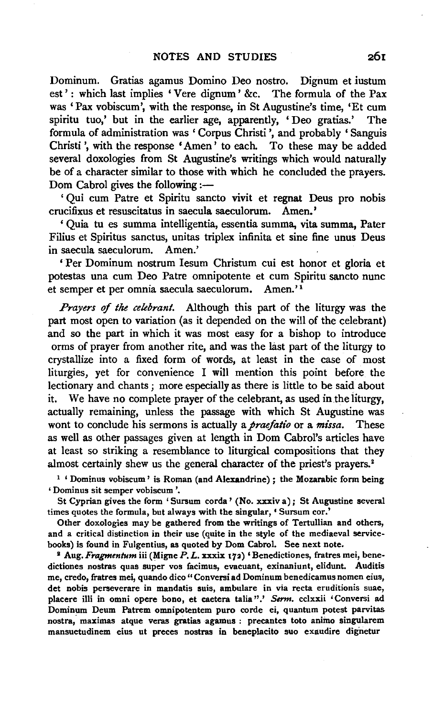Dominum. Gratias agamus Domino Deo nostro. Dignum et iustum est': which last implies 'Vere dignum' &c. The formula of the Pax was ' Pax vobiscum ', with the response, in St Augustine's time, 'Et cum spiritu tuo,' but in the earlier age, apparently, ' Deo gratias.' The formula of administration was 'Corpus Christi', and probably 'Sanguis Christi ', with the response 'Amen' to each. To these may be added several doxologies from St Augustine's writings which would naturally be of a character similar to those with which he concluded the prayers. Dom Cabrol gives the following  $:$ --

' Qui cum Patre et Spiritu sancto vivit et regnat Deus pro nobis crucifixus et resuscitatus in saecula saeculorum. Amen.'

' Quia tu es summa intelligentia, essentia summa, vita summa, Pater Filius et Spiritus sanctus, unitas triplex infinita et sine fine unus Deus in saecula saeculorum. Amen.'

' Per Dominum nostrum Iesum Christum cui est honor et gloria et potestas una cum Deo Patre omnipotente et cum Spiritu sancto nunc et semper et per omnia saecula saeculorum. Amen.'<sup>1</sup>

*Prayers* of *the celebrant.* Although this part of the liturgy was the part most open to variation (as it depended on the will of the celebrant) and so the part in which it was most easy for a bishop to introduce orms of prayer from another rite, and was the last part of the liturgy to crystallize into a fixed form of words, at least in the case of most liturgies, yet for convenience I will mention this point before the lectionary and chants ; more especially as there is little to be said about it. We have no complete prayer of the celebrant, as used in the liturgy, actually remaining, unless the passage with which St Augustine was wont to conclude his sermons is actually a *praefatio* or a *missa.* These as well as other passages given at length in Dom Cabrol's articles have at least so striking a resemblance to liturgical compositions that they almost certainly shew us the general character of the priest's prayers.<sup>2</sup>

1 'Dominus vobiscum' is Roman (and Alexandrine); the Mozarabic form being 'Dominus sit semper vobiscum '.

St Cyprian gives the form 'Sursum corda' (No. xxxiv a); St Augustine several times quotes the formula, but always with the singular, • Sursum cor.'

Other doxologies may be gathered from the writings of Tertullian and others, and a critical distinction in their use (quite in the style of the mediaeval servicebooks) is found in Fulgentius, as quoted by Dom Cabrol. See next note.

s Aug. *Fragmentum* iii (Migne *P. L.* xxxix 172) 'Benedictiones, fratres mei, bene· dictiones nostras quas super vos facimus, evacuant, exinaniunt, elidunt. Auditis me, credo, fratres mei, quando dico "Conversi ad Dominum benedicamus nomen eius, det nobis perseverare in mandatis suis, ambulare in via recta eruditionis suae, placere illi in omni opere bono, et caetera talia ".' *Senn.* cclxxii 'Conversi ad Dominum Deum Patrem omnipotentem puro corde ei, quantum potest parvitas nostra, maximas atque veras gratias agamus : precantes toto animo singularem mansuetudinem eius ut preces nostras in beneplacito suo exaudire dignetur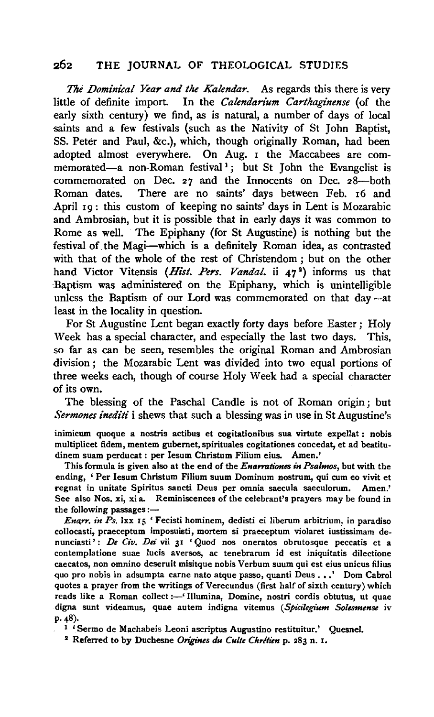# 262 THE JOURNAL OF THEOLOGICAL STUDIES

*The Dominical Year and the Kalendar.* As regards this there is very little of definite import. In the *Calendarium Carthaginense* (of the early sixth century) we find, as is natural, a number of days of local saints and a few festivals (such as the Nativity of St John Baptist, SS. Peter and Paul, &c.), which, though originally Roman, had been adopted almost everywhere. On Aug. 1 the Maccabees are commemorated-a non-Roman festival<sup>1</sup>; but St John the Evangelist is commemorated on Dec.  $27$  and the Innocents on Dec.  $28$ —both Roman dates. There are no saints' days between Feb. 16 and April 19: this custom of keeping no saints' days in Lent is Mozarabic and Ambrosiah, but it is possible that in early days it was common to Rome as well. The Epiphany (for St Augustine) is nothing but the festival of. the Magi-which is a definitely Roman idea, as contrasted with that of the whole of the rest of Christendom ; but on the other hand Victor Vitensis *(Hist. Pers. Vandal.* ii 47 2) informs us that ·Baptism was administered on the Epiphany, which is unintelligible unless the Baptism of our Lord was commemorated on that day-at least in the locality in question.

For St Augustine Lent began exactly forty days before Easter; Holy Week has a special character, and especially the last two days. This, so far as can be seen, resembles the original Roman and Ambrosian division ; the Mozarabic Lent was divided into two equal portions of three weeks each, though of course Holy Week had a special character of its own.

The blessing of the Paschal Candle is not of Roman origin ; but *Sermones inediti i* shews that such a blessing was in use in St Augustine's

inimicum quoque a nostris actibus et cogitationibus sua virtute expellat : nobis multiplicet fidem, mentem gubemet, spirituales cogitationes concedat, et ad beatitu· dinem suam perducat : per Iesum Christum Filium eius. Amen.'

This formula is given also at the end of the *Enarrationes in Psalmos,* but with the ending, ' Per Iesum Christum Filium suum Dominum nostrum, qui cum eo vivit et regnat in unitate Spiritus sancti Deus per omnia saecula saeculorum. Amen.' See also Nos. xi, xi a. Reminiscences of the celebrant's prayers may be found in the following passages  $:$ -

*Enarr. in Ps. lxx 15* 'Fecisti hominem, dedisti ei liberum arbitrium, in paradiso collocasti, praeceptum imposuisti, mortem si praeceptum violaret iustissimam denunciasti': *De Civ. Dei* vii 31 'Quod nos oneratos obrutosque peccatis et a contemplatione suae lucis aversos, ac tenebrarum id est iniquitatis dilectione caecatos, non omnino deseruit misitque nobis Verbum suum qui est eius unicus filius quo pro nobis in adsumpta carne nato atque passo, quanti Deus ...' Dom Cabrol quotes a prayer from the writings of Verecundus (first half of sixth century) which reads like a Roman collect :- 'Illumina, Domine, nostri cordis obtutus, ut quae digna sunt videamus, quae autem indigna vitemus ( *Spicilegium Solesmense* iv p. 48).

1 'Sermo de Machabeis Leoni ascriptus Augustino restituitur.' Quesnel. 2 Referred to by Ducbesne *Origines du Culte Chrltien* p. 283 n. 1.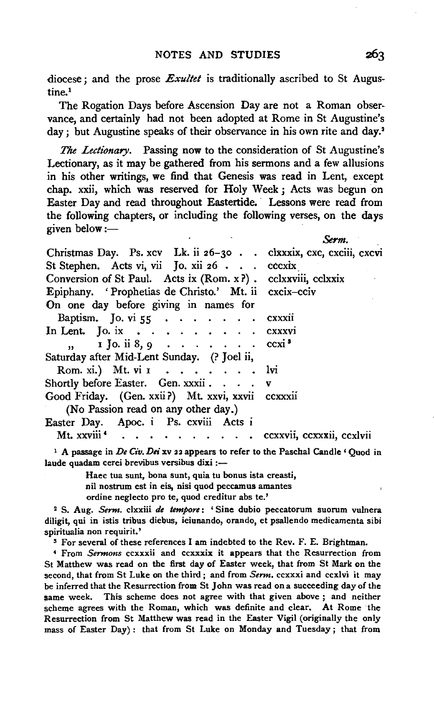diocese; and the prose *Exultet* is traditionally ascribed to St Augustine.<sup>1</sup>

The Rogation Days before Ascension Day are not a Roman observance, and certainly had not been adopted at Rome in St Augustine's day; but Augustine speaks of their observance in his own rite and day.<sup>2</sup>

*The Lectionary.* Passing now to the consideration of St Augustine's Lectionary, as it may be gathered from his sermons and a few allusions in his other writings, we find that Genesis was read in Lent, except chap. xxii, which was reserved for Holy Week j Acts was begun on Easter Day and read throughout Eastertide. Lessons were read from the following chapters, or including the following verses, on the days given below  $:=$ *Serm.* 

| Christmas Day. Ps. xcv Lk. ii 26-30 . clxxxix, cxc, cxciii, cxcvi                                                 |  |
|-------------------------------------------------------------------------------------------------------------------|--|
| St Stephen. Acts vi, vii Jo. xii 26 cccxix                                                                        |  |
| Conversion of St Paul. Acts ix (Rom. x?). cclxxviii, cclxxix                                                      |  |
| Epiphany. 'Prophetias de Christo.' Mt. ii cxcix-cciv                                                              |  |
| On one day before giving in names for                                                                             |  |
| Baptism. Jo. vi 55 cxxxii                                                                                         |  |
| In Lent. Jo. ix $\cdots$ exxxvi                                                                                   |  |
|                                                                                                                   |  |
| Saturday after Mid-Lent Sunday. (? Joel ii,                                                                       |  |
|                                                                                                                   |  |
| Shortly before Easter. Gen. xxxii. v                                                                              |  |
| Good Friday. (Gen. xxii?) Mt. xxvi, xxvii ccxxxii                                                                 |  |
| (No Passion read on any other day.)                                                                               |  |
| Easter Day. Apoc. i Ps. cxviii Acts i                                                                             |  |
| Mt. xxviii <sup>4</sup> cexxvii, cexxxii, eexlvii                                                                 |  |
| $\overline{1}$ A generate in $D_6 C_{10}$ . $\overline{D_6}$ we assume the refer to the December Candle (Out 4 in |  |

1 A passage in *De Civ. Dei* xv 22 appears to refer to the Paschal Candle 'Quod in laude quadam cerei brevibus versibus dixi :-

> Haec tua sunt, bona sunt, quia tu bonus ista creasti, nil nostrum est in eis, nisi quod peccamus amantes

ordine neglecto pro te, quod creditur abs te.'

2 S. Aug. *Serm.* clxxiii *de tempore:* ' Sine dubio peccatorum suorum vulnera diligit, qui in istis tribus diebus, ieiunando, orando, et psallendo medicamenta sibi spiritualia non requirit.'

s For several of these references I am indebted to the Rev. F. E. Brightman.

4 From *Sermons* ccxxxii and ccxxxix it appears that the Resurrection from St Matthew was read on the first day of Easter week, that from St Mark on the second, that from St Luke on the third ; and from *Serm.* ccxxxi and ccxlvi it may be inferred that the Resurrection from St John was read on a succeeding day of the same week. This scheme does not agree with that given above; and neither scheme agrees with the Roman, which was definite and clear. At Rome the Resurrection from St Matthew was read in the Easter Vigil (originally the only mass of Easter Day) : that from St Luke on Monday and Tuesday ; that from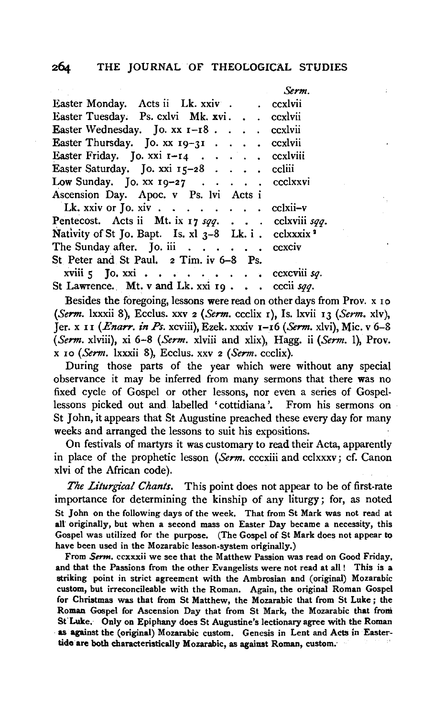|                                                                   | Serm. |
|-------------------------------------------------------------------|-------|
| Easter Monday. Acts ii Lk. xxiv . ccxlvii                         |       |
| Easter Tuesday. Ps. cxlvi Mk. xvi. ccxlvii                        |       |
| Easter Wednesday. Jo. xx 1-18. ccxlvii                            |       |
| Easter Thursday. Jo. xx 19-31 ccxlvii                             |       |
| Easter Friday. Jo. xxi 1-14 coxlviii                              |       |
| Easter Saturday. Jo. xxi 15-28 ccliii                             |       |
| Low Sunday. Jo. xx $19-27$ ccclxxvi                               |       |
| Ascension Day. Apoc. v Ps. lvi Acts i                             |       |
| Lk. xxiv or Jo. xiv celxii-v                                      |       |
| Pentecost. Acts ii Mt. ix 17 sqq. cclxviii sqq.                   |       |
| Nativity of St Jo. Bapt. Is. xl 3-8 Lk. i . cclxxxix <sup>2</sup> |       |
| The Sunday after. Jo. iii coxciv                                  |       |
| St Peter and St Paul. 2 Tim. iv 6-8 Ps.                           |       |
| xviii $5$ Jo. xxi cexeviii $sq$ .                                 |       |
|                                                                   |       |

St Lawrence. Mt. v and Lk. xxi 19 . . . cccii sqq.

Besides the foregoing, lessons were read on other days from Prov. x I o *(Serm.* lxxxii 8), Ecclus. xxv 2 *(Serm.* ccclix 1), Is. lxvii I3 *(Serm.* xlv), Jer. x I I *(Enarr. in Ps.* xcviii), Ezek. xxxiv I-I6 *(Serm.* xlvi), Mic. v 6-8 *(Serm.* xlviii), xi 6-8 *(Serm.* xlviii and xlix), Hagg. ii *(Serm.* 1), Prov. x IO *(Serm.* lxxxii 8), Ecclus. xxv 2 *(Serm.* ccclix).

During those parts of the year which were without any special observance it may be inferred from many sermons that there was no fixed cycle of Gospel or other lessons, nor even a series of Gospellessons picked out and. labelled 'cottidiana '. From his sermons on St John, it appears that St Augustine preached these every day for many weeks and arranged the lessons to suit his expositions.

On festivals of martyrs it was customary to read their Acta, apparently in place of the prophetic lesson (Serm. cccxiii and cclxxxv; cf. Canon xlvi of the African code).

*The Liturgical Chants.* This point does not appear to be of first-rate importance for determining the kinship of any liturgy; for, as noted St John on the following days of the week. That from St Mark was not read at all' originally, but when a second mass on Easter Day became a necessity, this Gospel was utilized for the purpose. (The Gospel of St Mark does not appear to have been used in the Mozarabic lesson-system originally.)

From *Serm.* ccxxxii we see that the Matthew Passion was read on Good Friday, and that the Passions from the other Evangelists were not read at all ! This is a striking point in strict agreement with the Ambrosian and (original) Mozarabic custom, but irreconcileable with the Roman. Again, the original Roman Gospel for Christmas was that from St Matthew, the Mozarabic that from St Luke; the Roman Gospel for Ascension Day that from St Mark, the Mozarabic that from St Luke. Only on Epiphany does St Augustine's lectionary agree with the Roman as against the (original) Mozarabic custom. Genesis in Lent and Acts in Eastertide are both characteristically Mozarabic, as against Roman, custom.·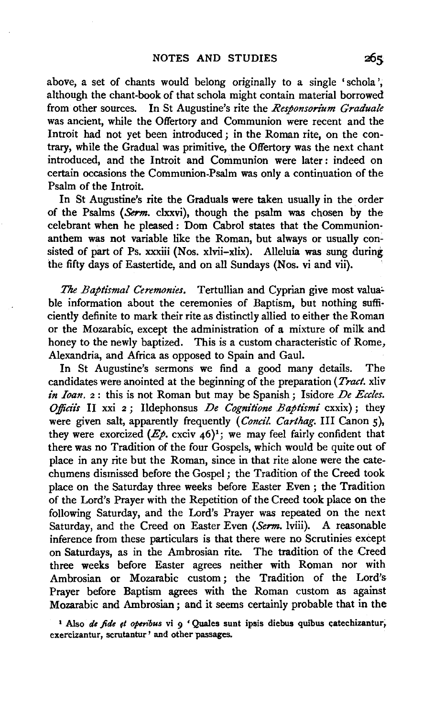above, a set of chants would belong originally to a single 'schola ', although the chant-book of that schola might contain material borrowed from other sources. In St Augustine's rite the *Responsorium Graduate*  was ancient, while the Offertory and Communion were recent and the Introit had not yet been introduced ; in the Roman rite, on the contrary, while the Gradual was primitive, the Offertory was the next chant introduced, and the Introit and Communion were later : indeed on certain occasions the Communion-Psalm was only a continuation of the Psalm of the Introit.

In St Augustine's rite the Graduals were taken usually in the order of the Psalms *(Serm.* clxxvi), though the psalm was chosen by the celebrant when he pleased : Dom Cabrol states that the Communionanthem was not variable like the Roman, but always or usually consisted of part of Ps. xxxiii (Nos. xlvii-xlix). Alleluia was sung during the fifty days of Eastertide, and on all Sundays (Nos. vi and vii).

*The Baptismal Ceremonies.* Tertullian and Cyprian give most valua:. ble information about the ceremonies of Baptism, but nothing sufficiently definite to mark their rite as distinctly allied to either the Roman or the Mozarabic, except the administration of a mixture of milk and honey to the newly baptized. This is a custom characteristic of Rome, Alexandria, and Africa as opposed to Spain and Gaul.

In St Augustine's sermons we find a good many details. The candidates were anointed at the beginning of the preparation *(Tract.* xliv *in Ioan.* 2 : this is not Roman but may be Spanish; Isidore *De Eccles. Officiis* II xxi 2; Ildephonsus *De Cognitione Baptismi* cxxix); they were given salt, apparently frequently ( *ConciL Carthag.* Ill Canon 5), they were exorcized  $(E\phi)$ , cxciv  $46$ <sup>1</sup>; we may feel fairly confident that there was no Tradition of the four Gospels, which would be quite out of place in any rite but the Roman, since in that rite alone were the catechumens dismissed before the Gospel ; the Tradition of the Creed took place on the Saturday three weeks before Easter Even ; the Tradition of the Lord's Prayer with the Repetition of the Creed took place on the following Saturday, and the Lord's Prayer was repeated on the next Saturday, and the Creed on Easter Even *(Serm.* lviii). A reasonable inference from these particulars is that there were no Scrutinies except on Saturdays, as in the Ambrosian rite. The tradition of the Creed three weeks before Easter agrees neither with Roman nor with Ambrosian or Mozarabic custom ; the Tradition of the Lord's Prayer before Baptism agrees with the Roman custom as against Mozarabic and Ambrosian ; and it seems certainly probable that in the

<sup>1</sup> Also *de fide et operibus* vi 9 'Quales sunt ipsis diebus quibus catechizantur, exercizantur, scrutantur' and other passages.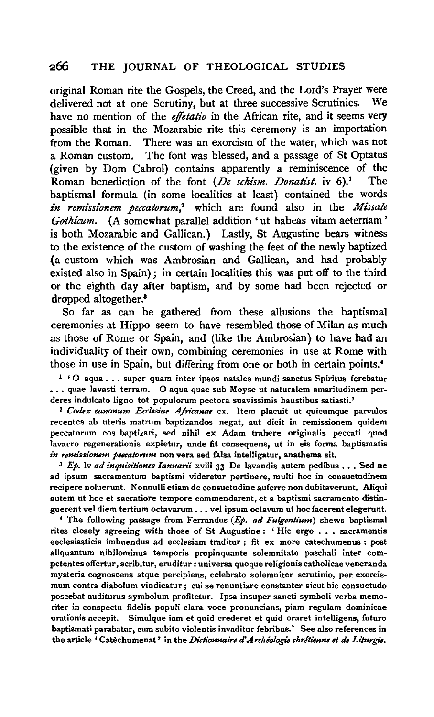## 266 THE JOURNAL OF THEOLOGICAL STUDIES

original Roman rite the Gospels, the Creed, and the Lord's Prayer were delivered not at one Scrutiny, but at three successive Scrutinies. We have no mention of the *effetatio* in the African rite, and it seems very possible that in the Mozarabic rite this ceremony is an importation from the Roman. There was an exorcism of the water, which was not a Roman custom. The font was blessed, and a passage of St Optatus (given by Dom Cabrol) contains apparently a reminiscence of the Roman benediction of the font (*De schism. Donatist*, iv  $6$ ).<sup>1</sup> The Roman benediction of the font (De schism. Donatist. iv 6).<sup>1</sup> baptismal formula (in some localities at least) contained the words in remissionem peccatorum,<sup>2</sup> which are found also in the *Missale Gothicum.* (A somewhat parallel addition 'ut habeas vitam aeternam ' is both Mozarabic and Gallican.) Lastly, St Augustine bears witness to the existence of the custom of washing the feet of the newly baptized (a custom which was Ambrosian and Gallican, and had probably existed also in Spain); in certain localities this was put off to the third or the eighth day after baptism, and by some had been rejected or dropped altogether.<sup>3</sup>

So far as can be gathered from these allusions the baptismal ceremonies at Hippo seem to have resembled those of Milan as much as those of Rome or Spain, and (like the Ambrosian) to have had an individuality of their own, combining ceremonies in use at Rome with

those in use in Spain, but differing from one or both in certain points.<sup>4</sup>  $\cdot$  0 aqua  $\cdot$ .. super quam inter ipsos natales mundi sanctus Spiritus ferebatur ... quae lavasti terram. O aqua quae sub Moyse ut naturalem amaritudinem per-<br>deres indulcato ligno tot populorum pectora suavissimis haustibus satiasti.'

<sup>2</sup> Codex canonum Ecclesiae Africanae cx. Item placuit ut quicumque parvulos recentes ab uteris matrum baptizandos negat, aut dicit in remissionem quidem peccatorum eos baptizari, sed nihil ex Adam trahere originalis peccati quod lavacro regenerationis expietur, unde fit consequens, ut in eis forma baptismatis *in remissionem peecatorum* non vera sed falsa intelligatur, anathema sit.<br><sup>3</sup> *Ep.* lv *ad inquisitiones Ianuarii* xviii 33 De lavandis autem pedibus . . . Sed ne

ad ipsum sacramentum baptismi videretur pertinere, multi hoc in consuetudinem recipere noluerunt. Nonnulli etiam de consuetudine auferre non dubitaverunt. Aliqui autem ut hoc et sacratiore tempore commendarent, et a baptismi sacramento distinguerent vel diem tertium octavarum . . . vel ipsum octavum ut hoc facerent elegerunt.

• The following passage from Ferrandus *(Ep. ad Fulgentium)* shews baptismal rites closely agreeing with those of St Augustine : 'Hic ergo . . . sacramentis eeclesiasticis imbuendus ad ecclesiam traditur ; fit ex more catechumenus : post aliquantum nihilominus temporis propinquante solemnitate paschali inter competentes offertur, scribitur, eruditur : universa quoque religionis catholicae veneranda mysteria cognoscens atque percipiens, celebrato solemn iter scrutinio, per exorcismum contra diabolum vindicatur; cui se renuntiare constanter sicut hie consuetudo poscebat auditurus symbolum profitetur. Ipsa insuper sancti symboli verba memoriter in conspectu fidelis populi clara voce pronuncians, piam regulam dominicae orationis accepit. Simulque iam et quid crederet et quid oraret intelligens, futuro baptismati parabatur, cum subito violentis invaditur febribus.' See also references in the article ' Catechumenat' in the *Dictionnaire* d' *A rchiologie chrltienne et de Liturgie.*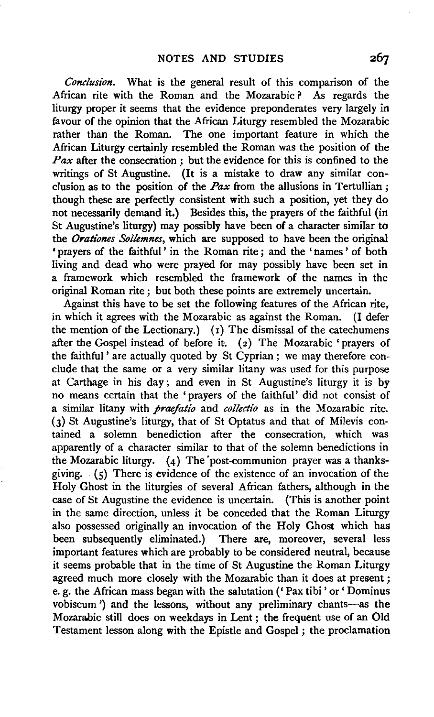*Conclusion.* What is the general result of this comparison of the African rite with the Roman and the Mozarabic ? As regards the liturgy proper it seems that the evidence preponderates very largely in favour of the opinion that the African Liturgy resembled the Mozarabic rather than the Roman. The one important feature in which the African Liturgy certainly resembled the Roman was the position of the *Pax* after the consecration; but the evidence for this is confined to the writings of St Augustine. (It is a mistake to draw any similar conclusion as to the position of the *Pax* from the allusions in Tertullian : though these are perfectly consistent with such a position, yet they do not necessarily demand it.) Besides this, the prayers of the faithful (in St Augustine's liturgy) may possibly have been of a character similar to the *Orationes Sollemnes,* which are supposed to have been the original • prayers of the faithful ' in the Roman rite ; and the 'names ' of both living and dead who were prayed for may possibly have been set in a framework which resembled the framework of the names in the original Roman rite ; but both these points are extremely uncertain.

Against this have to be set the following features of the African rite, in which it agrees with the Mozarabic as against the Roman. (I defer the mention of the Lectionary.) (1) The dismissal of the catechumens after the Gospel instead of before it. ( *z)* The Mozarabic 'prayers of the faithful ' are actually quoted by St Cyprian ; we may therefore conclude that the same or a very similar litany was used for this purpose at Carthage in his day ; and even in St Augustine's liturgy it is by no means certain that the 'prayers of the faithful' did not consist of a similar litany with *praefatio* and *collectio* as in the Mozarabic rite. (3) St Augustine's liturgy, that of St Optatus and that of Milevis contained a solemn benediction after the consecration, which was apparently of a character similar to that of the solemn benedictions in the Mozarabic liturgy. (4) The 'post-communion prayer was a thanksgiving. (5) There is evidence of the existence of an invocation of the Holy Ghost in the liturgies of several African fathers, although in the case of St Augustine the evidence is uncertain. (This is another point in the same direction, unless it be conceded that the Roman Liturgy also possessed originally an invocation of the Holy Ghost which has been subsequently eliminated.) There are, moreover, several less important features which are probably to be considered neutral, because it seems probable that in the time of St Augustine the Roman Liturgy agreed much more closely with the Mozarabic than it does at present ; e. g. the African mass began with the salutation{' Pax tibi 'or' Dominus vobiscum ') and the lessons, without any preliminary chants-as the Mozarabic still does on weekdays in Lent; the frequent use of an Old Testament lesson along with the Epistle and Gospel ; the proclamation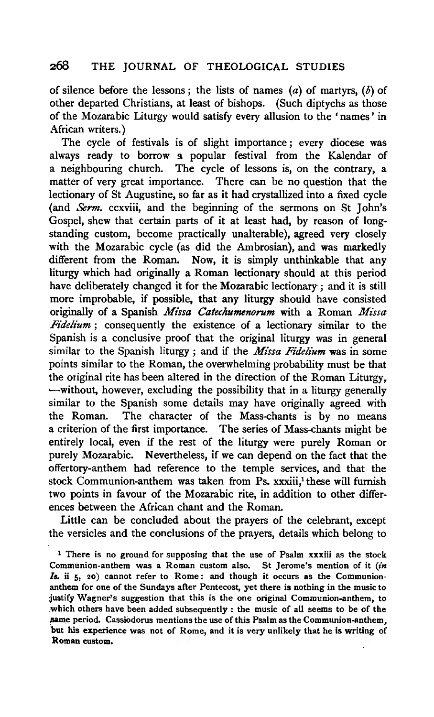of silence before the lessons; the lists of names  $(a)$  of martyrs,  $(b)$  of other departed Christians, at least of bishops. (Such diptychs as those of the Mozarabic Liturgy would satisfy every allusion to the 'names' in African writers.)

The cycle of festivals is of slight importance ; every diocese was always ready to borrow a popular festival from the Kalendar of a neighbouring church. The cycle of lessons is, on the contrary, a matter of very great importance. There can be no question that the lectionary of St Augustine, so far as it had crystallized into a fixed cycle (and *Serm.* ccxviii, and the beginning of the sermons on St John's Gospel, shew that certain parts of it at least had, by reason of longstanding custom, become practically unalterable), agreed very closely with the Mozarabic cycle (as did the Ambrosian), and was markedly different from the Roman. Now, it is simply unthinkable that any liturgy which had originally a Roman lectionary should at this period have deliberately changed it for the Mozarabic lectionary; and it is still more improbable, if possible, that any liturgy should have consisted originally of a Spanish *Missa Catechumenorum* with a Roman *Missa Fidelium* ; consequently the existence of a lectionary similar to the Spanish is a conclusive proof that the original liturgy was in general similar to the Spanish liturgy; and if the *Missa Fidelium* was in some points similar to the Roman, the overwhelming probability must be that the original rite has been altered in the direction of the Roman Liturgy. -without, however, excluding the possibility that in a liturgy generally similar to the Spanish some details may have originally agreed with the Roman. The character of the Mass-chants is by no means a criterion of the first importance. The series of Mass-chants might be entirely local, even if the rest of the liturgy were purely Roman or purely Mozarabic. Nevertheless, if we can depend on the fact that the offertory-anthem had reference to the temple services, and that the stock Communion-anthem was taken from Ps. xxxiii.<sup>1</sup> these will furnish two points in favour of the Mozarabic rite, in addition to other differences between the African chant and the Roman.

Little can be concluded about the prayers of the celebrant, except the versicles and the conclusions of the prayers, details which belong to

<sup>&</sup>lt;sup>1</sup> There is no ground for supposing that the use of Psalm  $xxxiii$  as the stock Communion-anthem was a Roman custom also. St Jerome's mention of it (in Is. ii  $5$ , 20) cannot refer to Rome: and though it occurs as the Communionanthem for one of the Sundays after Pentecost, yet there is nothing in the music to justify Wagner's suggestion that this is the one original Communion-anthem, to which others have been added subsequently : the music of all seems to be of the same period. Cassiodorus mentions the use of this Psalm as the Communion-anthem, but his experience was not of Rome, and it is very unlikely that he is writing of Roman custom.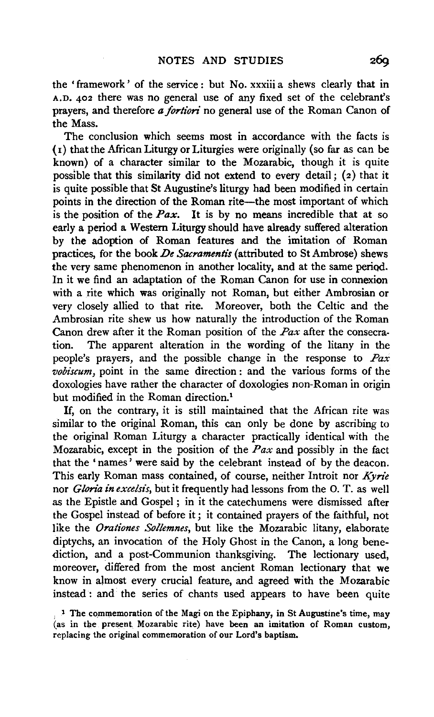the 'framework' of the service: but No. xxxiii a shews clearly that in A.D. 402 there was no general use of any fixed set of the celebrant's prayers, and therefore *a fortiori* no general use of the Roman Canon of the Mass.

The conclusion which seems most in accordance with the facts is ( 1) that the African Liturgy or Liturgies were originally (so far as can be known) of a character similar to the Mozarabic, though it is quite possible that this similarity did not extend to every detail;  $(z)$  that it is quite possible that St Augustine's liturgy had been modified in certain points in the direction of the Roman rite-the most important of which is the position of the *Pax.* It is by no means incredible that at so early a period a Western Liturgy should have already suffered alteration by the adoption of Roman features and the imitation of Roman practices, for the book *De Sacramentis* (attributed to St Ambrose) shews the very same phenomenon in another locality, and at the same period. In it we find an adaptation of the Roman Canon for use in connexion with a rite which was originally not Roman, but either Ambrosian or very closely allied to that rite. Moreover, both the Celtic and the Ambrosian rite shew us how naturally the introduction of the Roman Canon drew after it the Roman position of the *Pax* after the consecration. The apparent alteration in the wording of the litany in the people's prayers, and the possible change in the response to *Pax vobiscum*, point in the same direction: and the various forms of the doxologies have rather the character of doxologies non-Roman in origin but modified in the Roman direction.<sup>1</sup>

If, on the contrary, it is still maintained that the African rite was similar to the original Roman, this can only be done by ascribing to the original Roman Liturgy a character practically identical with the Mozarabic, except in the position of the *Pax* and possibly in the fact that the 'names' were said by the celebrant instead of by the deacon. This early Roman mass contained, of course, neither Introit nor *Kyrie*  nor *Gtoria in excelsi's,* but it frequently had lessons from the 0. T. as well as the Epistle and Gospel ; in it the catechumens were dismissed after the Gospel instead of before it; it contained prayers of the faithful, not like the *Orationes Sollemnes,* but like the Mozarabic litany, elaborate diptychs, an invocation of the Holy Ghost in the Canon, a long benediction, and a post-Communion thanksgiving. The lectionary used, moreover, differed from the most ancient Roman lectionary that we know in almost every crucial feature, and agreed with the Mozarabic instead : and the series of chants used appears to have been quite

<sup>1</sup> The commemoration of the Magi on the Epiphany, in St Augustine's time, may (as in the present. Mozarabic rite) have been an imitation of Roman custom, replacing the original commemoration of our Lord's baptism.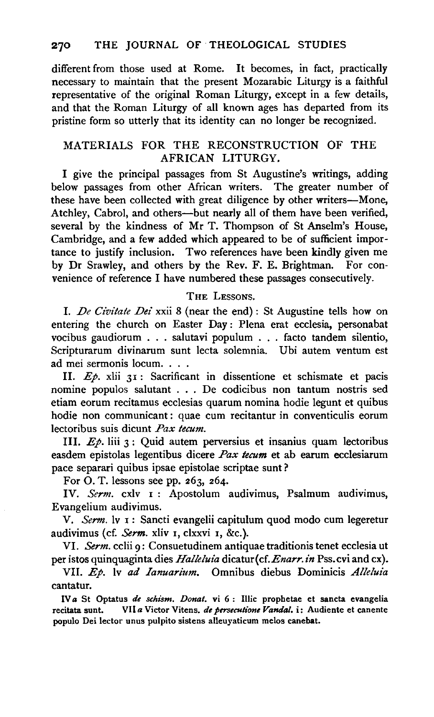different from those used at Rome. It becomes, in fact, practically necessary to maintain that the present Mozarabic Liturgy is a faithful representative of the original Roman Liturgy, except in a few details, and that the Roman Liturgy of all known ages has departed from its pristine form so utterly that its identity can no longer be recognized.

## MATERIALS FOR THE RECONSTRUCTION OF THE AFRICAN LITURGY.

I give the principal passages from St Augustine's writings, adding below passages from other African writers. The greater number of these have been collected with great diligence by other writers-Mone, Atchley, Cabrol, and others--but nearly all of them have been verified, several by the kindness of Mr T. Thompson of St Anselm's House, Cambridge, and a few added which appeared to be of sufficient importance to justify inclusion. Two references have been kindly given me by Dr Srawley, and others by the Rev. F. E. Brightman. For convenience of reference I have numbered these passages consecutively.

## THE LESSONS.

I. *De Civitate Dei* xxii 8 (near the end): St Augustine tells how on entering the church on Easter Day: Plena erat ecclesia, personabat vocibus gaudiorum . . . salutavi populum . . . facto tandem silentio, Scripturarum divinarum sunt lecta solemnia. Ubi autem ventum est ad mei sermonis locum. . . .

11. *Ep.* xlii 3I : Sacrificant in dissentione et schismate et pacis nomine populos salutant . . . De codicibus non tantum nostris sed etiam eorum recitamus ecclesias quarum nomina hodie legunt et quibus hodie non communicant : quae cum recitantur in conventiculis eorum lectoribus suis dicunt *Pax tecum.* 

III. *Ep*. liii 3: Quid autem perversius et insanius quam lectoribus easdem epistolas legentibus dicere *Pax tecum* et ab earum ecclesiarum pace separari quibus ipsae epistolae scriptae sunt?

For 0. T. lessons see pp. 263, 264.

IV. *Serm.* cxlv I : Apostolum audivimus, Psalmum audivimus, Evangelium audivimus.

V. Serm. lv 1 : Sancti evangelii capitulum quod modo cum legeretur audivimus (cf. *Serm.* xliv I, clxxvi I, &c.).

VI. *Serm.* cclii 9: Consuetudinem antiquae traditionis tenet ecclesia ut per istos quinquaginta dies *Halleluia* dicatur(cf.Enarr. *in* Pss.cvi and ex).

VII. *Ep.* lv *ad Ianuarium.* Omnibus diebus Dominicis *Alleluia*  cantatur.

IV *a* St Optatus *de schism. Donat.* vi 6 : 1llic prophetae et sancta evangelia recitata sunt. VII *a* Victor Vitens. *de persecutione Vandal.* i: Audiente et canente populo Dei lector unus pulpito sistens alleuyaticum melos canebat.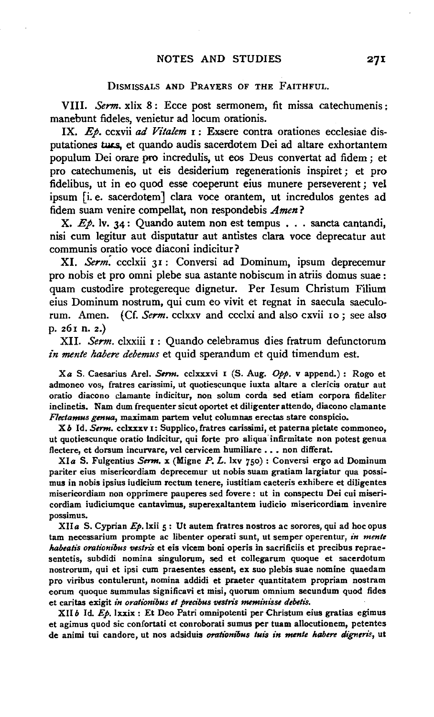#### DISMISSALS AND PRAYERS OF THE FAITHFUL.

VIII. *Serm.* xlix 8: Ecce post sermonem, fit missa catechumenis: manebunt fideles, venietur ad locum orationis.

IX. *Ep.* ccxvii *ad Vitalem* **I**: Exsere contra orationes ecclesiae disputationes *UKs,* et quando audis sacerdotem Dei ad altare exhortantem populum Dei orare pro incredulis, ut eos Deus convertat ad fidem ; et pro catechumenis, ut eis desiderium regenerationis inspiret ; et pro fidelibus, ut in eo quod esse coeperunt eius munere perseverent ; vel ipsum [i. e. sacerdotem] clara voce orantem, ut incredulos gentes ad fidem suam venire compellat, non respondebis *Amen?* 

X. *Ep.* lv. 34 : Quando autem non est tempus . . . sancta cantandi, nisi cum legitur aut disputatur aut antistes clara voce deprecator aut communis oratio voce diaconi indicitur?

XI. Serm. ccclxii 31 : Conversi ad Dominum, ipsum deprecemur pro nobis et pro omni plebe sua astante nobiscum in atriis domus suae : quam custodire protegereque dignetur. Per Iesum Christum Filium eius Dominum nostrum, qui cum eo vivit et regnat in saecula saeculorum. Amen. (Cf. *Serm.* cclxxv and ccclxi and also cxvii IO; see also p. 261 n. 2-)

XII. *Serm.* clxxiii I : Quando celebramus dies fratrum defunctorum *in mente habere debemus* et quid sperandum et quid timendum est.

*Xa* S. Caesarius Are!. *Serm.* cclxxxvi I (S. Aug. *Opp.* v append.): Rogo et admoneo vos, fratres carissimi, ut quotiescunque iuxta altare a clericis oratur aut oratio diacono clamante indicitur, non solum corda sed etiam corpora fideliter inclinetis. Nam dum frequenter sicut oportet et diligenter attendo, diacono clamante *Flectamus genua,* maximam partem velut columnas erectas stare conspicio.

*Xb* Id. *Serm.* cclxxxv 1: Supplico, fratres carissimi, et paterna pietate commoneo, ut quotiescunque oratio indicitur, qui forte pro aliqua· infirmitate non potest genua flectere, et dorsum incurvare, vel cervicem humiliare . . . non differat.

XI *a* S. Fulgentius *Serm.* x (Migne *P. L.* lxv 750): Conversi ergo ad Dominum pariter eius misericordiam deprecemur ut nobis suam gratiam largiatur qua possimus in nobis ipsius iudicium rectum tenere, iustitiam caeteris exhibere et diligentes misericordiam non opprimere pauperes sed fovere : ut in conspectu Dei cui misericordiam iudiciumque cantavimus, superexaltantem iudicio misericordiam invenire possimus.

XIIa S. Cyprian Ep. lxii 5 : Ut autem fratres nostros ac sorores, qui ad hoc opus tam necessarium prompte ac libenter opecati sunt, ut semper operentur, *in mente habeah's orah'onibus vestris* et eis vicem boni operis in sacrificiis et precibus repraesentetis, subdidi nomina singulorum, sed et collegarum quoque et sacerdotum nostrorum, qui et ipsi cum praesentes essent, ex suo plebis suae nomine quaedam pro viribus contulerunt, nomina addidi et praeter quantitatem propriam nostram eorum quoque summulas significavi et misi, quorum omnium secundum quod fides et caritas exigit *in orationibus et precibus vestris meminisse debetis.* 

XII b Id. Ep. lxxix : Et Deo Patri omnipotenti per Christum eius gratias egimus et agimus quod sic confortati et conroborati sumus per tuam allocutionem, petentes de animi tui candore, ut nos adsiduis *orationibus tuis in mente habere digneris*, ut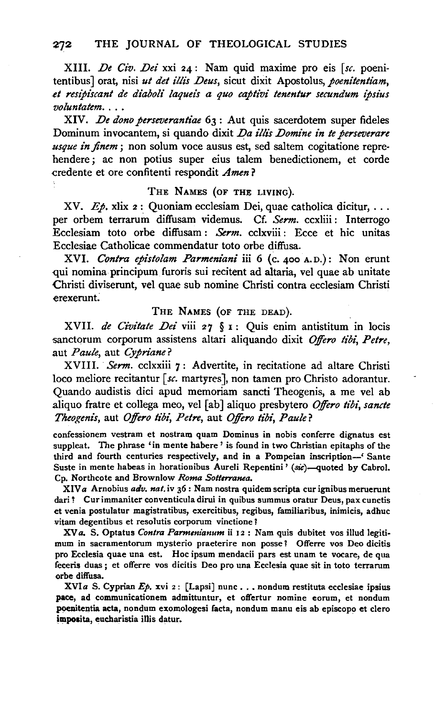XIII. *De Civ. Dei* xxi 24: Nam quid maxime pro eis *[sc. poeni*tentibus] orat, nisi *ut det illis Deus*, sicut dixit Apostolus, *poenitentiam*, *.et resipi'seant de diabolt" laqueis a quo eaptivi tenentur secundum ipsius voluntatem.* . . .

XIV. *De dono perseverantiae* 63 : Aut quis sacerdotem super fideles Dominum invocantem, si quando dixit *Da illis Domine in te perseverare usque in finem*; non solum voce ausus est, sed saltem cogitatione reprehendere ; ac non potius super eius talem benedictionem, et corde ~redente et ore confitenti respondit *Amen* ?

#### THE NAMES (OF THE LIVING).

XV. Ep. xlix 2 : Quoniam ecclesiam Dei, quae catholica dicitur, ... per orbem terrarum diffusam videmus. Cf. Serm. ccxliii: Interrogo Ecclesiam toto orbe diffusam : *Serm.* cclxviii : Ecce et hie unitas Ecclesiae Catholicae commendatur toto orbe diffusa.

XVI. *Contra epistolam Parmeniani* iii 6 (c. 400 A. D.): Non erunt qui nomina principum furoris sui recitent ad altaria, vel quae ab unitate Christi diviserunt, vel quae sub nomine Christi contra ecclesiam Christi erexerunt.

THE NAMES (OF THE DEAD).

XVII. *de Civitate Dei* viii 27 § 1: Quis enim antistitum in locis sanctorum corporum assistens altari aliquando dixit *Offero tibi, Petre,*  aut *Paule,* aut *Cypriane?* 

XVIII. *Serm.* cclxxiii 7 : Advertite, in recitatione ad altare Christi loco meliore recitantur *[sc. martyres]*, non tamen pro Christo adorantur. Quando audistis dici apud memoriam sancti Theogenis, a me vel ab aliquo fratre et collega meo, vel [ab] aliquo presbytero *Offero tibi, sanete Tkeogenis,* aut *Offero tibi, Petre,* aut *Offero tibi, Paule?* 

confessionem vestram et nostram quam Dominus in nobis conferre dignatus est suppleat. The phrase 'in mente habere ' is found in two Christian epitaphs of the third and fourth centuries respectively, and in a Pompeian inscription-' Sante Suste in mente habeas in horationibus Aureli Repentini' (sic)-quoted by Cabrol. Cp. Northcote and Brownlow *Roma Sotterranea.* 

XIV *a* Arnobius *ativ. nat.* iv 36 : Nam nostra quidem scripta cur ignibus meruerunt dari? Cur immaniter conventicula dirui in quibus summus oratur Deus, pax cunctis et venia postulatur magistratibus, exercitibus, regibus, familiaribus, inimicis, adhuc vitam degentibus et resolutis corporum vinctione *1* 

XV *a.* S. Optatus *Contra Parmenianum* ii I 2 : Nam quis dubitet vos illud legitimum in sacramentorum mysterio praeterire non posse? Offerre vos Deo dicitis pro Ecclesia quae una est. Hoc ipsum mendacii pars est unam te vocare, de qua feceris duas ; et offerre vos dicitis Deo pro una Ecclesia quae sit in toto terrarum orbe diffusa.

XVIa S. Cyprian Ep. xvi 2: [Lapsi] nunc . . . nondum restituta ecclesiae ipsius pace, ad communicationem admittuntur, et offertur nomine eorum, et nondum poenitentia acta, nondum exomologesi facta, nondum manu eis ab episcopo et clero imposita, eucharistia illis datur.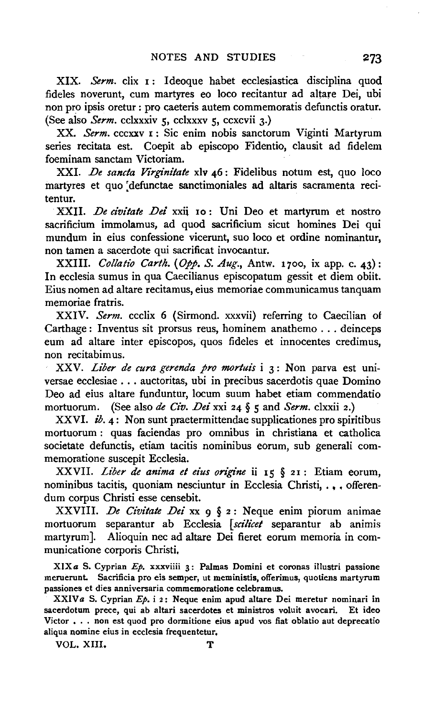XIX. *Serm.* clix I: Ideoque habet ecclesiastica disciplina quod fideles noverunt, cum martyres eo loco recitantur ad altare Dei, ubi non pro ipsis oretur : pro caeteris autem commemoratis defunctis oratur. (See also *Serm.* cclxxxiv 5, cclxxxv 5, ccxcvii 3·)

XX. *Serm.* cccxxv r : Sic enim nobis sanctorum Viginti Martyrum series recitata est. Coepit ab episcopo Fidentio, clausit ad fidelem foeminam sanctam Victoriam.

XXI. *De sancta Virginitate* xlv 46: Fidelibus notum est, quo loco martyres et quo defunctae sanctimoniales ad altaris sacramenta recitentur.

XXII. *De civitate Del* xxii Io: Uni Deo et martyrum et nostro sacrificium immolamus, ad quod sacrificium sicut homines Dei qui mundum in eius confessione vicerunt, suo loco et ordine nominantur, non tamen a sacerdote qui sacrificat invocantur.

XXIII. *Collatio Carth.* ( *Opp. S. Aug.,* Antw. 17oo, ix app. c. 43) : In ecclesia sumus in qua Caecilianus episcopatum gessit et diem obiit. Eius nomen ad altare recitamus, eius memoriae communicamus tanquam memoriae fratris.

XXIV. *Serm.* ccclix 6 (Sirmond. xxxvii) referring to Caecilian of Carthage : Inventus sit prorsus reus, hominem anathemo ... deinceps eum ad altare inter episcopos, quos fideles et innocentes credimus, non recitabimus.

XXV. *Liber de cura gerenda pro mortuis* i 3: Non parva est universae ecclesiae ... auctoritas, ubi in precibus sacerdotis quae Domino Deo ad eius altare funduntur, locum suum habet etiam commendatio mortuorum. (See also *de Civ. Del* xxi 24 *§ 5* and *Serm.* clxxii 2.)

XXVI. *ib.* 4: Non sunt praetermittendae supplicationes pro spiritibus mortuorum : quas faciendas pro omnibus in christiana et catholica societate defunctis, etiam tacitis nominibus eorum, sub generali commemoratione suscepit Ecclesia.

XXVII. *Liber de anima et eius oni{J"ne* ii IS *§* 2I: Etiam eorum, nominibus tacitis, quoniam nesciuntur in Ecclesia Christi, . , , offerendum corpus Christi esse censebit.

XXVIII. *De Civitate Dei* xx 9 *§* 2: Neque enim piorum animae mortuorum separantur ab Ecclesia *[scilicet* separantur ab animis martyrum]. Alioquin nec ad altare Dei fieret eorum memoria in communicatione corporis Christi,

XIX *a* S. Cyprian Ep. xxxviiii 3: Palmas Domini et coronas illustri passione meruerunt. Sacrificia pro eis semper, ut meministis, offerimus, quotiens martyrum passiones et dies anniversaria commemoratione celebramus.

XXIVa S. Cyprian Ep. i 2: Neque enim apud altare Dei meretur nominari in sacerdotum prece, qui ab altari sacerdotes et ministros voluit avocari. Et ideo Victor . . . non est quod pro dormitione eius apud vos fiat oblatio aut deprecatio aliqua nomine eius in ecclesia frequentetur,

VOL. XIII. T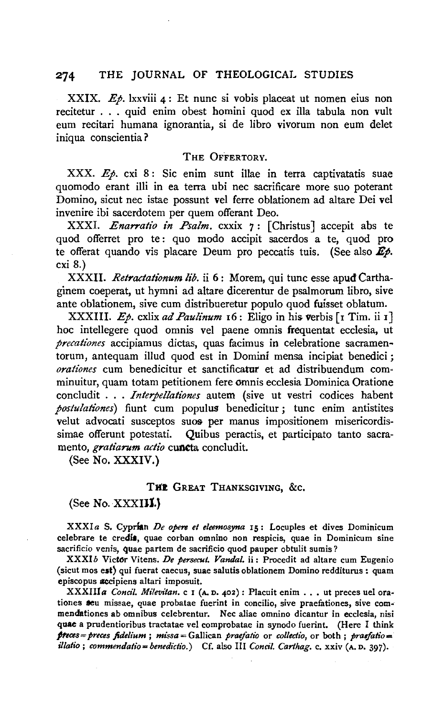#### 274 THE JOURNAL OF THEOLOGICAL STUDIES

XXIX. Ep. lxxviii 4 : Et nunc si vobis placeat ut nomen eius non recitetur . . . quid enim obest homini quod ex ilia tabula non vult eum recitari humana ignorantia, si de libro vivorum non eum delet iniqua conscientia?

#### THE OFFERTORY.

XXX.  $E\phi$ . cxi 8: Sic enim sunt illae in terra captivatatis suae quomodo erant illi in ea terra ubi nee sacrificare more suo poterant Domino, sicut nee istae possunt vel ferre oblationem ad altare Dei vel invenire ibi sacerdotem per quem offerant Deo.

XXXI. *Enarratio in Psalm.* cxxix 7: [Christus] accepit abs te quod offerret pro te: quo modo accipit sacerdos a te, quod pro te offerat quando vis placare Deum pro peccatis tuis. (See also  $E_p$ . cxi 8.)

XXXII. *Retractationum lib.* ii 6 : Morem, qui tunc esse apud Carthaginem coeperat, ut hymni ad altare dicerentur de psalmorum libro, sive ante oblationem, sive cum distribueretur populo quod fuisset oblatum.

XXXIII. *Ep.* cxlix *ad Paulinum*  $16$ : Eligo in his verbis [I Tim. ii I] hoc intellegere quod omnis vel paene omnis frequentat ecclesia, ut *precationes* accipiamus dictas, quas facimus in celebratione sacramentorum, antequam illud quod est in Domini mensa incipiat benedici; *orationes* cum benedicitur et sanctificatur et ad distribuendum comminuitur, quam totam petitionem fere omnis ecclesia Dominica Oratione concludit ... *Interpellationes* autem (sive ut vestri codices habent *postulationes*) fiunt cum populus benedicitur; tunc enim antistites velut advocati susceptos suos per manus impositionem misericordissimae offerunt potestati. Quibus peractis, et participato tanto sacramento, *gratiarum actio* cuncta concludit.

(See No. XXXIV.)

#### THE GREAT THANKSGIVING, &c.

#### (See No. XXXIII.)

XXXI *a* S. Cyprfan *De operr et eleemosyna* 15: Locuples et dives Dominicum celebrare te credit, quae corban omnino non respicis, quae in Dominicum sine sacrificio venis, quae partem de sacrificio quod pauper obtulit sumis?

XXXIb Victor Vitens. *De persecut. Vandal.* ii: Procedit ad altare cum Eugenic (sicut mos est) qui fuerat caecus, suae salutis oblationem Domino redditurus: quam episcopus accipiens altari imposuit.

XXXIII *a Concil. Milevitan.* c I (A. D. 402): Placuit enim .. , ut preces uel orationes seu missae, quae probatae fuerint in concilio, sive praefationes, sive commendationes ab omnibus celebrentur. Nee aliae omnino dicantur in ecclesia, nisi quae a prudentioribus tractatae vel comprobatae in synodo fuerint. (Here I think  $p$ teces = preces fidelium; missa = Gallican *praefatio* or *collectio*, or both; *praefatio* = *illatio* ; *commendatio* = *benedictio.)* Cf. also Ill *Concil. Carlhag.* c. xxiv (A. D. 397).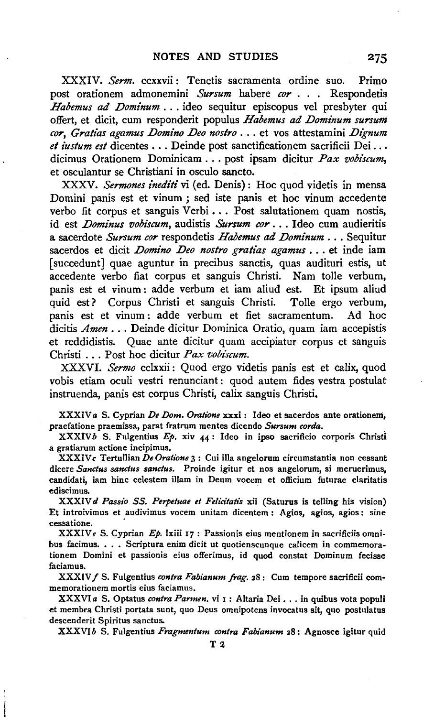XXXIV. *Serm.* ccxxvii : Tenetis sacramenta ordine suo. Primo post orationem admonemini *Sursum* habere *cor* . . . Respondetis *Habemus ad Dominum* ... ideo sequitur episcopus vel presbyter qui offert, et dicit, cum responderit populus Habemus ad Dominum sursum *cor, Gratias agamus Domino Deo nostro* ... et vos attestamini *Dignum et iustum est* dicentes ... Deinde post sanctificationem sacrificii Dei ... dicimus Orationem Dominicam ... post ipsam dicitur *Pax vobiscum,*  et osculantur se Christiani in osculo sancto.

XXXV. *Sermones inediti* vi (ed. Denis): Hoc quod videtis in mensa Domini panis est et vinum ; sed iste panis et hoc vinum accedente verbo fit corpus et sanguis Verbi . . . Post salutationem quam nostis, id est *Dominus vobiscum,* audistis *Sursum cor* ... Ideo cum audieritis a sacerdote *Sursum cor* respondetis *Habemus ad Dominum* ... Sequitur sacerdos et dicit *Domino Deo nostro gratias agamus* •.. et inde iam [ succedunt] quae aguntur in precibus sanctis, quas audituri estis, ut accedente verbo fiat corpus et sanguis Christi. Nam tolle verbum, panis est et vinum : adde verbum et iam aliud est. Et ipsum aliud quid est? Corpus Christi et sanguis Christi. Tolle ergo verbum, panis est et vinum : adde verbum et fiet sacramentum. Ad hoc dicitis *Amen* ... Deinde dicitur Dominica Oratio, quam iam accepistis et reddidistis. Quae ante dicitur quam accipiatur corpus et sanguis Christi . . . Post hoc dicitur *Pax vobiscum*.

XXXVI. *Sermo* cclxxii : Quod ergo videtis panis est et calix, quod vobis etiam oculi vestri renunciant : quod autem fides vestra postulat instruenda, panis est corpus Christi, calix sanguis Christi.

XXXIV *a* S. Cyprian *De Dom. Oratione* xxxi : Ideo et sacerdos ante orationeni, praefatione praemissa, parat fratrum mentes dicendo *Sursum corda.* .

XXXIVb S. Fulgentius  $E_p$ . xiv 44 : Ideo in ipso sacrificio corporis Christi a gratiarum actione incipimus.

XXXIV *c* Tertullian *De Oratione* 3 : Cui ilia angelorum circumstantia non cessant dicere *Sanctus sanctus sanctus.* Proinde igitur et nos angelorum, si meruerimus, candidati, iam hinc celestem illam in Deum vocem et officium futurae claritatis ediscimus.

XXXIV *d Passio SS. Perpeluae et Felicitalis* xii (Saturus is telling his vision) Et introivimus et audivimus vocem unitam dicentem : Agios, agios, agios : sine cessatione.

XXXIVe S. Cyprian Ep. lxiii 17 : Passionis eius mentionem in sacrificiis omnibus facimus. . . . Scriptura enim dicit ut quotienscunque calicem in commemorationem Domini et passionis eius offerimus, id quod constat Dominum fecisse faciamus.

XXXIV f S. Fulgentius contra Fabianum frag. 28: Cum tempore sacrificii commemorationem mortis eius faciamus.

XXXVI *a* S. Optatus *contra Parmen.* vi I : Altaria Dei •.. in quibus vota populi et membra Christi portata sunt, quo Deus omnipotens invocatus sit, quo postulatus descenderit Spiritus sanctus.

XXXVIb S. Fulgentius *Fragmenlum contra Fabianum* 28: Agnosce igitur quid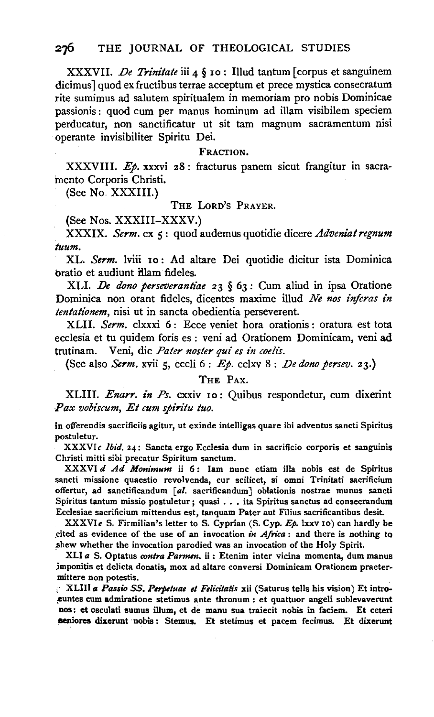XXXVII. *De Trinitate* iii 4 § 10 : Illud tantum [corpus et sanguinem dicimus] quod ex fructibus terrae acceptum et prece mystica consecratunt rite sumimus ad salutem spiritualem in memoriam pro nobis Dominicae passionis : quod cum per manus hominum ad illam visibilem speciem perducatur, non sanctificatur ut sit tam magnum sacramentum nisi operante invisibiliter Spiritu Dei.

#### FRACTION,

XXXVIII. *Ep.* xxxvi 28: fracturus panem sicut frangitur in sacramenta Corporis Christi.

(See No. XXXIII.)

## THE LoRD'S PRAYER.

(See Nos. XXXIII-XXXV.)

XXXIX. *Serm.* ex 5: quod audemus quotidie dicere *Adveniatregnum tuum.* 

XL. *Serm.* lviii 10 : Ad altare Dei quotidie dicitur ista Dominica oratio et audiunt illam fideles.

XLI. *De dono perseverantiae* 23 § 63 : Cum aliud in ipsa Oratione Dominica non orant fideles, dicentes maxime illud *Ne nos inferas in* tentationem, nisi ut in sancta obedientia perseverent.

XLII. *Serm.* clxxxi 6 : Ecce veniet hora orationis : oratura est tota ecclesia et tu quidem foris es : veni ad Orationem Dominicam, veni ad trutinam. Veni, die *Pater nosier qui es in coelis.* 

(See also *Serm.* xvii 5, cccli 6: *Ep.* cclxv 8: *De dono persev.* 23.)

### THE PAX.

XLIII. *Enarr. in Ps.* exxiv 10: Quibus respondetur, cum dixerint Pax vobiscum, Et cum spiritu tuo.

in offerendis sacrificiis agitur, ut exinde intelligas quare ibi adventus sancti Spiritus postuletur.

XXXVIc *Ibid.* 24: Sancta ergo Ecclesia dum in sacrificio corporis et sanguinis Christi mitti sibi precatur Spiritum sanctum.

XXXVI *d Ad Monimum* ii 6: lam nunc etiam ilia nobis est de Spiritus sancti missione quaestio revolvenda, cur scilicet, si omni Trinitati sacrificium offertur, ad sanctificandum *[al.* sacrificandum] oblationis nostrae munus sancti Spiritus tantum missio postuletur; quasi . . . ita Spiritus sanctus ad consecrandum Ecclesiae sacrificium mittendus est, tanquam Pater aut Filius sacrificantibus desit.

XXXVIe S. Firmilian's letter to S. Cyprian (S. Cyp.  $Ep$ . Ixxv 10) can hardly be .cited as evidence of the use of an invocation *in Africa* : and there is nothing to shew whether the invocation parodied was an invocation of the Holy Spirit.

XLI *a* S. Optatus *contra Parmen.* ii : Etenim inter vicina momenta, dum manus jmponitis et delicta donatis, mox ad altare conversi Dominicam Orationem praetermittere non potestis.

'· XLIII *a Passio SS. Perpttuae et Felicitati's* xii (Saturus tells his vision) Et intro- ,euntes cum admiratione stetimus ante thronum : et quattuor angeli sublevaverunt nos: et osculati sumus illum, et de manu sua traiecit nobis in faciem. Et ceteri seniores dixerunt nobis: Stemus. Et stetimus et pacem fecimus. Et dixerunt